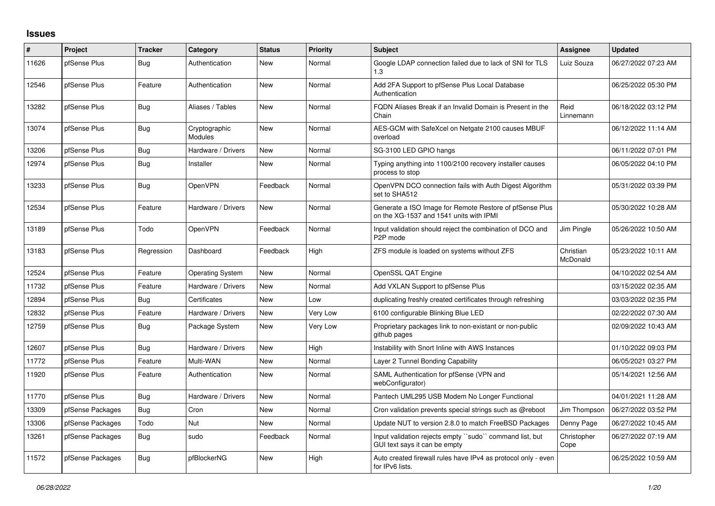## **Issues**

| ∦     | Project          | <b>Tracker</b> | Category                        | <b>Status</b> | <b>Priority</b> | <b>Subject</b>                                                                                     | Assignee              | <b>Updated</b>      |
|-------|------------------|----------------|---------------------------------|---------------|-----------------|----------------------------------------------------------------------------------------------------|-----------------------|---------------------|
| 11626 | pfSense Plus     | Bug            | Authentication                  | New           | Normal          | Google LDAP connection failed due to lack of SNI for TLS<br>1.3                                    | Luiz Souza            | 06/27/2022 07:23 AM |
| 12546 | pfSense Plus     | Feature        | Authentication                  | <b>New</b>    | Normal          | Add 2FA Support to pfSense Plus Local Database<br>Authentication                                   |                       | 06/25/2022 05:30 PM |
| 13282 | pfSense Plus     | <b>Bug</b>     | Aliases / Tables                | <b>New</b>    | Normal          | FQDN Aliases Break if an Invalid Domain is Present in the<br>Chain                                 | Reid<br>Linnemann     | 06/18/2022 03:12 PM |
| 13074 | pfSense Plus     | Bug            | Cryptographic<br><b>Modules</b> | <b>New</b>    | Normal          | AES-GCM with SafeXcel on Netgate 2100 causes MBUF<br>overload                                      |                       | 06/12/2022 11:14 AM |
| 13206 | pfSense Plus     | Bug            | Hardware / Drivers              | <b>New</b>    | Normal          | SG-3100 LED GPIO hangs                                                                             |                       | 06/11/2022 07:01 PM |
| 12974 | pfSense Plus     | Bug            | Installer                       | <b>New</b>    | Normal          | Typing anything into 1100/2100 recovery installer causes<br>process to stop                        |                       | 06/05/2022 04:10 PM |
| 13233 | pfSense Plus     | <b>Bug</b>     | OpenVPN                         | Feedback      | Normal          | OpenVPN DCO connection fails with Auth Digest Algorithm<br>set to SHA512                           |                       | 05/31/2022 03:39 PM |
| 12534 | pfSense Plus     | Feature        | Hardware / Drivers              | <b>New</b>    | Normal          | Generate a ISO Image for Remote Restore of pfSense Plus<br>on the XG-1537 and 1541 units with IPMI |                       | 05/30/2022 10:28 AM |
| 13189 | pfSense Plus     | Todo           | OpenVPN                         | Feedback      | Normal          | Input validation should reject the combination of DCO and<br>P <sub>2</sub> P mode                 | Jim Pingle            | 05/26/2022 10:50 AM |
| 13183 | pfSense Plus     | Regression     | Dashboard                       | Feedback      | High            | ZFS module is loaded on systems without ZFS                                                        | Christian<br>McDonald | 05/23/2022 10:11 AM |
| 12524 | pfSense Plus     | Feature        | <b>Operating System</b>         | New           | Normal          | OpenSSL QAT Engine                                                                                 |                       | 04/10/2022 02:54 AM |
| 11732 | pfSense Plus     | Feature        | Hardware / Drivers              | <b>New</b>    | Normal          | Add VXLAN Support to pfSense Plus                                                                  |                       | 03/15/2022 02:35 AM |
| 12894 | pfSense Plus     | <b>Bug</b>     | Certificates                    | <b>New</b>    | Low             | duplicating freshly created certificates through refreshing                                        |                       | 03/03/2022 02:35 PM |
| 12832 | pfSense Plus     | Feature        | Hardware / Drivers              | <b>New</b>    | Very Low        | 6100 configurable Blinking Blue LED                                                                |                       | 02/22/2022 07:30 AM |
| 12759 | pfSense Plus     | <b>Bug</b>     | Package System                  | <b>New</b>    | Very Low        | Proprietary packages link to non-existant or non-public<br>github pages                            |                       | 02/09/2022 10:43 AM |
| 12607 | pfSense Plus     | Bug            | Hardware / Drivers              | <b>New</b>    | High            | Instability with Snort Inline with AWS Instances                                                   |                       | 01/10/2022 09:03 PM |
| 11772 | pfSense Plus     | Feature        | Multi-WAN                       | <b>New</b>    | Normal          | Layer 2 Tunnel Bonding Capability                                                                  |                       | 06/05/2021 03:27 PM |
| 11920 | pfSense Plus     | Feature        | Authentication                  | <b>New</b>    | Normal          | SAML Authentication for pfSense (VPN and<br>webConfigurator)                                       |                       | 05/14/2021 12:56 AM |
| 11770 | pfSense Plus     | <b>Bug</b>     | Hardware / Drivers              | <b>New</b>    | Normal          | Pantech UML295 USB Modem No Longer Functional                                                      |                       | 04/01/2021 11:28 AM |
| 13309 | pfSense Packages | <b>Bug</b>     | Cron                            | <b>New</b>    | Normal          | Cron validation prevents special strings such as @reboot                                           | Jim Thompson          | 06/27/2022 03:52 PM |
| 13306 | pfSense Packages | Todo           | Nut                             | <b>New</b>    | Normal          | Update NUT to version 2.8.0 to match FreeBSD Packages                                              | Denny Page            | 06/27/2022 10:45 AM |
| 13261 | pfSense Packages | Bug            | sudo                            | Feedback      | Normal          | Input validation rejects empty "sudo" command list, but<br>GUI text says it can be empty           | Christopher<br>Cope   | 06/27/2022 07:19 AM |
| 11572 | pfSense Packages | <b>Bug</b>     | pfBlockerNG                     | <b>New</b>    | High            | Auto created firewall rules have IPv4 as protocol only - even<br>for IPv6 lists.                   |                       | 06/25/2022 10:59 AM |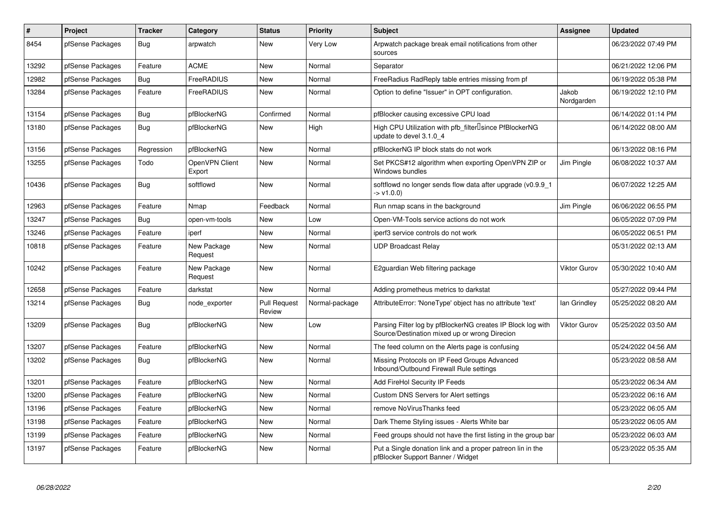| $\#$  | Project          | <b>Tracker</b> | Category                 | <b>Status</b>                 | <b>Priority</b> | <b>Subject</b>                                                                                               | <b>Assignee</b>     | <b>Updated</b>      |
|-------|------------------|----------------|--------------------------|-------------------------------|-----------------|--------------------------------------------------------------------------------------------------------------|---------------------|---------------------|
| 8454  | pfSense Packages | Bug            | arpwatch                 | <b>New</b>                    | Very Low        | Arpwatch package break email notifications from other<br>sources                                             |                     | 06/23/2022 07:49 PM |
| 13292 | pfSense Packages | Feature        | <b>ACME</b>              | <b>New</b>                    | Normal          | Separator                                                                                                    |                     | 06/21/2022 12:06 PM |
| 12982 | pfSense Packages | Bug            | FreeRADIUS               | <b>New</b>                    | Normal          | FreeRadius RadReply table entries missing from pf                                                            |                     | 06/19/2022 05:38 PM |
| 13284 | pfSense Packages | Feature        | FreeRADIUS               | <b>New</b>                    | Normal          | Option to define "Issuer" in OPT configuration.                                                              | Jakob<br>Nordgarden | 06/19/2022 12:10 PM |
| 13154 | pfSense Packages | Bug            | pfBlockerNG              | Confirmed                     | Normal          | pfBlocker causing excessive CPU load                                                                         |                     | 06/14/2022 01:14 PM |
| 13180 | pfSense Packages | Bug            | pfBlockerNG              | New                           | High            | High CPU Utilization with pfb_filter <sup>[]</sup> since PfBlockerNG<br>update to devel 3.1.0 4              |                     | 06/14/2022 08:00 AM |
| 13156 | pfSense Packages | Regression     | pfBlockerNG              | <b>New</b>                    | Normal          | pfBlockerNG IP block stats do not work                                                                       |                     | 06/13/2022 08:16 PM |
| 13255 | pfSense Packages | Todo           | OpenVPN Client<br>Export | <b>New</b>                    | Normal          | Set PKCS#12 algorithm when exporting OpenVPN ZIP or<br>Windows bundles                                       | Jim Pingle          | 06/08/2022 10:37 AM |
| 10436 | pfSense Packages | Bug            | softflowd                | <b>New</b>                    | Normal          | softflowd no longer sends flow data after upgrade (v0.9.9_1<br>$-$ > v1.0.0)                                 |                     | 06/07/2022 12:25 AM |
| 12963 | pfSense Packages | Feature        | Nmap                     | Feedback                      | Normal          | Run nmap scans in the background                                                                             | Jim Pingle          | 06/06/2022 06:55 PM |
| 13247 | pfSense Packages | Bug            | open-vm-tools            | <b>New</b>                    | Low             | Open-VM-Tools service actions do not work                                                                    |                     | 06/05/2022 07:09 PM |
| 13246 | pfSense Packages | Feature        | iperf                    | <b>New</b>                    | Normal          | iperf3 service controls do not work                                                                          |                     | 06/05/2022 06:51 PM |
| 10818 | pfSense Packages | Feature        | New Package<br>Request   | New                           | Normal          | <b>UDP Broadcast Relay</b>                                                                                   |                     | 05/31/2022 02:13 AM |
| 10242 | pfSense Packages | Feature        | New Package<br>Request   | <b>New</b>                    | Normal          | E2guardian Web filtering package                                                                             | <b>Viktor Gurov</b> | 05/30/2022 10:40 AM |
| 12658 | pfSense Packages | Feature        | darkstat                 | New                           | Normal          | Adding prometheus metrics to darkstat                                                                        |                     | 05/27/2022 09:44 PM |
| 13214 | pfSense Packages | Bug            | node exporter            | <b>Pull Request</b><br>Review | Normal-package  | AttributeError: 'NoneType' object has no attribute 'text'                                                    | lan Grindley        | 05/25/2022 08:20 AM |
| 13209 | pfSense Packages | <b>Bug</b>     | pfBlockerNG              | <b>New</b>                    | Low             | Parsing Filter log by pfBlockerNG creates IP Block log with<br>Source/Destination mixed up or wrong Direcion | <b>Viktor Gurov</b> | 05/25/2022 03:50 AM |
| 13207 | pfSense Packages | Feature        | pfBlockerNG              | <b>New</b>                    | Normal          | The feed column on the Alerts page is confusing                                                              |                     | 05/24/2022 04:56 AM |
| 13202 | pfSense Packages | <b>Bug</b>     | pfBlockerNG              | <b>New</b>                    | Normal          | Missing Protocols on IP Feed Groups Advanced<br>Inbound/Outbound Firewall Rule settings                      |                     | 05/23/2022 08:58 AM |
| 13201 | pfSense Packages | Feature        | pfBlockerNG              | <b>New</b>                    | Normal          | Add FireHol Security IP Feeds                                                                                |                     | 05/23/2022 06:34 AM |
| 13200 | pfSense Packages | Feature        | pfBlockerNG              | <b>New</b>                    | Normal          | <b>Custom DNS Servers for Alert settings</b>                                                                 |                     | 05/23/2022 06:16 AM |
| 13196 | pfSense Packages | Feature        | pfBlockerNG              | <b>New</b>                    | Normal          | remove NoVirusThanks feed                                                                                    |                     | 05/23/2022 06:05 AM |
| 13198 | pfSense Packages | Feature        | pfBlockerNG              | <b>New</b>                    | Normal          | Dark Theme Styling issues - Alerts White bar                                                                 |                     | 05/23/2022 06:05 AM |
| 13199 | pfSense Packages | Feature        | pfBlockerNG              | <b>New</b>                    | Normal          | Feed groups should not have the first listing in the group bar                                               |                     | 05/23/2022 06:03 AM |
| 13197 | pfSense Packages | Feature        | pfBlockerNG              | New                           | Normal          | Put a Single donation link and a proper patreon lin in the<br>pfBlocker Support Banner / Widget              |                     | 05/23/2022 05:35 AM |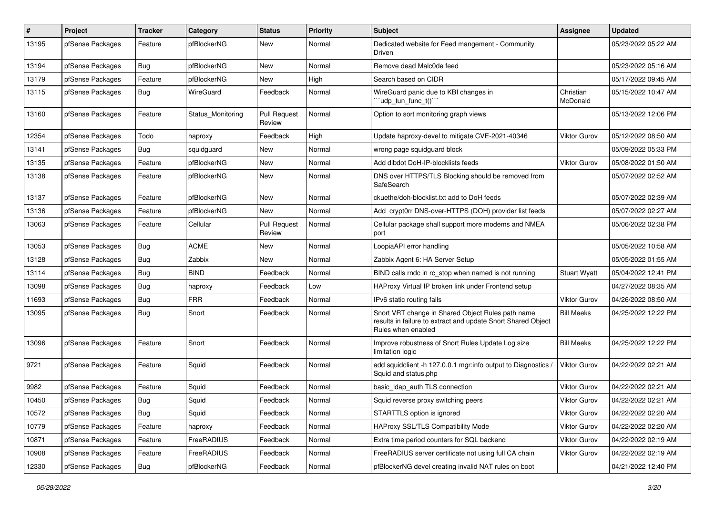| $\pmb{\#}$ | Project          | <b>Tracker</b> | Category          | <b>Status</b>                 | <b>Priority</b> | <b>Subject</b>                                                                                                                          | <b>Assignee</b>       | <b>Updated</b>      |
|------------|------------------|----------------|-------------------|-------------------------------|-----------------|-----------------------------------------------------------------------------------------------------------------------------------------|-----------------------|---------------------|
| 13195      | pfSense Packages | Feature        | pfBlockerNG       | New                           | Normal          | Dedicated website for Feed mangement - Community<br>Driven                                                                              |                       | 05/23/2022 05:22 AM |
| 13194      | pfSense Packages | Bug            | pfBlockerNG       | New                           | Normal          | Remove dead Malc0de feed                                                                                                                |                       | 05/23/2022 05:16 AM |
| 13179      | pfSense Packages | Feature        | pfBlockerNG       | New                           | High            | Search based on CIDR                                                                                                                    |                       | 05/17/2022 09:45 AM |
| 13115      | pfSense Packages | Bug            | WireGuard         | Feedback                      | Normal          | WireGuard panic due to KBI changes in<br>"udp_tun_func_t()```                                                                           | Christian<br>McDonald | 05/15/2022 10:47 AM |
| 13160      | pfSense Packages | Feature        | Status Monitoring | <b>Pull Request</b><br>Review | Normal          | Option to sort monitoring graph views                                                                                                   |                       | 05/13/2022 12:06 PM |
| 12354      | pfSense Packages | Todo           | haproxy           | Feedback                      | High            | Update haproxy-devel to mitigate CVE-2021-40346                                                                                         | Viktor Gurov          | 05/12/2022 08:50 AM |
| 13141      | pfSense Packages | <b>Bug</b>     | squidguard        | New                           | Normal          | wrong page squidguard block                                                                                                             |                       | 05/09/2022 05:33 PM |
| 13135      | pfSense Packages | Feature        | pfBlockerNG       | New                           | Normal          | Add dibdot DoH-IP-blocklists feeds                                                                                                      | Viktor Gurov          | 05/08/2022 01:50 AM |
| 13138      | pfSense Packages | Feature        | pfBlockerNG       | New                           | Normal          | DNS over HTTPS/TLS Blocking should be removed from<br>SafeSearch                                                                        |                       | 05/07/2022 02:52 AM |
| 13137      | pfSense Packages | Feature        | pfBlockerNG       | New                           | Normal          | ckuethe/doh-blocklist.txt add to DoH feeds                                                                                              |                       | 05/07/2022 02:39 AM |
| 13136      | pfSense Packages | Feature        | pfBlockerNG       | New                           | Normal          | Add crypt0rr DNS-over-HTTPS (DOH) provider list feeds                                                                                   |                       | 05/07/2022 02:27 AM |
| 13063      | pfSense Packages | Feature        | Cellular          | <b>Pull Request</b><br>Review | Normal          | Cellular package shall support more modems and NMEA<br>port                                                                             |                       | 05/06/2022 02:38 PM |
| 13053      | pfSense Packages | Bug            | <b>ACME</b>       | New                           | Normal          | LoopiaAPI error handling                                                                                                                |                       | 05/05/2022 10:58 AM |
| 13128      | pfSense Packages | <b>Bug</b>     | Zabbix            | New                           | Normal          | Zabbix Agent 6: HA Server Setup                                                                                                         |                       | 05/05/2022 01:55 AM |
| 13114      | pfSense Packages | Bug            | <b>BIND</b>       | Feedback                      | Normal          | BIND calls rndc in rc stop when named is not running                                                                                    | <b>Stuart Wyatt</b>   | 05/04/2022 12:41 PM |
| 13098      | pfSense Packages | <b>Bug</b>     | haproxy           | Feedback                      | Low             | HAProxy Virtual IP broken link under Frontend setup                                                                                     |                       | 04/27/2022 08:35 AM |
| 11693      | pfSense Packages | <b>Bug</b>     | <b>FRR</b>        | Feedback                      | Normal          | IPv6 static routing fails                                                                                                               | Viktor Gurov          | 04/26/2022 08:50 AM |
| 13095      | pfSense Packages | Bug            | Snort             | Feedback                      | Normal          | Snort VRT change in Shared Object Rules path name<br>results in failure to extract and update Snort Shared Object<br>Rules when enabled | <b>Bill Meeks</b>     | 04/25/2022 12:22 PM |
| 13096      | pfSense Packages | Feature        | Snort             | Feedback                      | Normal          | Improve robustness of Snort Rules Update Log size<br>limitation logic                                                                   | <b>Bill Meeks</b>     | 04/25/2022 12:22 PM |
| 9721       | pfSense Packages | Feature        | Squid             | Feedback                      | Normal          | add squidclient -h 127.0.0.1 mgr:info output to Diagnostics /<br>Squid and status.php                                                   | <b>Viktor Gurov</b>   | 04/22/2022 02:21 AM |
| 9982       | pfSense Packages | Feature        | Squid             | Feedback                      | Normal          | basic Idap auth TLS connection                                                                                                          | Viktor Gurov          | 04/22/2022 02:21 AM |
| 10450      | pfSense Packages | <b>Bug</b>     | Squid             | Feedback                      | Normal          | Squid reverse proxy switching peers                                                                                                     | Viktor Gurov          | 04/22/2022 02:21 AM |
| 10572      | pfSense Packages | Bug            | Squid             | Feedback                      | Normal          | STARTTLS option is ignored                                                                                                              | Viktor Gurov          | 04/22/2022 02:20 AM |
| 10779      | pfSense Packages | Feature        | haproxy           | Feedback                      | Normal          | HAProxy SSL/TLS Compatibility Mode                                                                                                      | Viktor Gurov          | 04/22/2022 02:20 AM |
| 10871      | pfSense Packages | Feature        | FreeRADIUS        | Feedback                      | Normal          | Extra time period counters for SQL backend                                                                                              | Viktor Gurov          | 04/22/2022 02:19 AM |
| 10908      | pfSense Packages | Feature        | FreeRADIUS        | Feedback                      | Normal          | FreeRADIUS server certificate not using full CA chain                                                                                   | <b>Viktor Gurov</b>   | 04/22/2022 02:19 AM |
| 12330      | pfSense Packages | <b>Bug</b>     | pfBlockerNG       | Feedback                      | Normal          | pfBlockerNG devel creating invalid NAT rules on boot                                                                                    |                       | 04/21/2022 12:40 PM |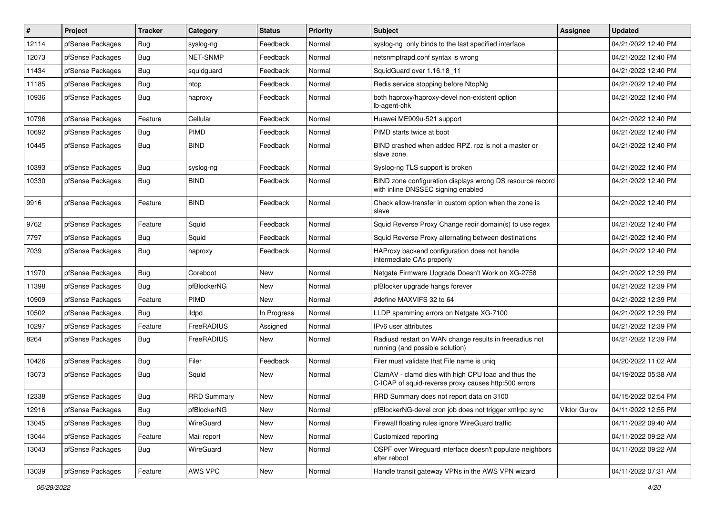| $\vert$ # | Project          | <b>Tracker</b> | Category           | <b>Status</b> | Priority | <b>Subject</b>                                                                                              | <b>Assignee</b> | <b>Updated</b>      |
|-----------|------------------|----------------|--------------------|---------------|----------|-------------------------------------------------------------------------------------------------------------|-----------------|---------------------|
| 12114     | pfSense Packages | <b>Bug</b>     | syslog-ng          | Feedback      | Normal   | syslog-ng only binds to the last specified interface                                                        |                 | 04/21/2022 12:40 PM |
| 12073     | pfSense Packages | <b>Bug</b>     | <b>NET-SNMP</b>    | Feedback      | Normal   | netsnmptrapd.conf syntax is wrong                                                                           |                 | 04/21/2022 12:40 PM |
| 11434     | pfSense Packages | Bug            | squidguard         | Feedback      | Normal   | SquidGuard over 1.16.18_11                                                                                  |                 | 04/21/2022 12:40 PM |
| 11185     | pfSense Packages | Bug            | ntop               | Feedback      | Normal   | Redis service stopping before NtopNg                                                                        |                 | 04/21/2022 12:40 PM |
| 10936     | pfSense Packages | Bug            | haproxy            | Feedback      | Normal   | both haproxy/haproxy-devel non-existent option<br>lb-agent-chk                                              |                 | 04/21/2022 12:40 PM |
| 10796     | pfSense Packages | Feature        | Cellular           | Feedback      | Normal   | Huawei ME909u-521 support                                                                                   |                 | 04/21/2022 12:40 PM |
| 10692     | pfSense Packages | <b>Bug</b>     | <b>PIMD</b>        | Feedback      | Normal   | PIMD starts twice at boot                                                                                   |                 | 04/21/2022 12:40 PM |
| 10445     | pfSense Packages | Bug            | <b>BIND</b>        | Feedback      | Normal   | BIND crashed when added RPZ. rpz is not a master or<br>slave zone.                                          |                 | 04/21/2022 12:40 PM |
| 10393     | pfSense Packages | <b>Bug</b>     | syslog-ng          | Feedback      | Normal   | Syslog-ng TLS support is broken                                                                             |                 | 04/21/2022 12:40 PM |
| 10330     | pfSense Packages | <b>Bug</b>     | <b>BIND</b>        | Feedback      | Normal   | BIND zone configuration displays wrong DS resource record<br>with inline DNSSEC signing enabled             |                 | 04/21/2022 12:40 PM |
| 9916      | pfSense Packages | Feature        | <b>BIND</b>        | Feedback      | Normal   | Check allow-transfer in custom option when the zone is<br>slave                                             |                 | 04/21/2022 12:40 PM |
| 9762      | pfSense Packages | Feature        | Squid              | Feedback      | Normal   | Squid Reverse Proxy Change redir domain(s) to use regex                                                     |                 | 04/21/2022 12:40 PM |
| 7797      | pfSense Packages | <b>Bug</b>     | Squid              | Feedback      | Normal   | Squid Reverse Proxy alternating between destinations                                                        |                 | 04/21/2022 12:40 PM |
| 7039      | pfSense Packages | Bug            | haproxy            | Feedback      | Normal   | HAProxy backend configuration does not handle<br>intermediate CAs properly                                  |                 | 04/21/2022 12:40 PM |
| 11970     | pfSense Packages | Bug            | Coreboot           | <b>New</b>    | Normal   | Netgate Firmware Upgrade Doesn't Work on XG-2758                                                            |                 | 04/21/2022 12:39 PM |
| 11398     | pfSense Packages | <b>Bug</b>     | pfBlockerNG        | <b>New</b>    | Normal   | pfBlocker upgrade hangs forever                                                                             |                 | 04/21/2022 12:39 PM |
| 10909     | pfSense Packages | Feature        | <b>PIMD</b>        | <b>New</b>    | Normal   | #define MAXVIFS 32 to 64                                                                                    |                 | 04/21/2022 12:39 PM |
| 10502     | pfSense Packages | <b>Bug</b>     | <b>Ildpd</b>       | In Progress   | Normal   | LLDP spamming errors on Netgate XG-7100                                                                     |                 | 04/21/2022 12:39 PM |
| 10297     | pfSense Packages | Feature        | FreeRADIUS         | Assigned      | Normal   | IPv6 user attributes                                                                                        |                 | 04/21/2022 12:39 PM |
| 8264      | pfSense Packages | <b>Bug</b>     | FreeRADIUS         | New           | Normal   | Radiusd restart on WAN change results in freeradius not<br>running (and possible solution)                  |                 | 04/21/2022 12:39 PM |
| 10426     | pfSense Packages | <b>Bug</b>     | Filer              | Feedback      | Normal   | Filer must validate that File name is uniq                                                                  |                 | 04/20/2022 11:02 AM |
| 13073     | pfSense Packages | <b>Bug</b>     | Squid              | <b>New</b>    | Normal   | ClamAV - clamd dies with high CPU load and thus the<br>C-ICAP of squid-reverse proxy causes http:500 errors |                 | 04/19/2022 05:38 AM |
| 12338     | pfSense Packages | <b>Bug</b>     | <b>RRD Summary</b> | New           | Normal   | RRD Summary does not report data on 3100                                                                    |                 | 04/15/2022 02:54 PM |
| 12916     | pfSense Packages | <b>Bug</b>     | pfBlockerNG        | New           | Normal   | pfBlockerNG-devel cron job does not trigger xmlrpc sync                                                     | Viktor Gurov    | 04/11/2022 12:55 PM |
| 13045     | pfSense Packages | <b>Bug</b>     | WireGuard          | <b>New</b>    | Normal   | Firewall floating rules ignore WireGuard traffic                                                            |                 | 04/11/2022 09:40 AM |
| 13044     | pfSense Packages | Feature        | Mail report        | New           | Normal   | Customized reporting                                                                                        |                 | 04/11/2022 09:22 AM |
| 13043     | pfSense Packages | <b>Bug</b>     | WireGuard          | New           | Normal   | OSPF over Wireguard interface doesn't populate neighbors<br>after reboot                                    |                 | 04/11/2022 09:22 AM |
| 13039     | pfSense Packages | Feature        | AWS VPC            | New           | Normal   | Handle transit gateway VPNs in the AWS VPN wizard                                                           |                 | 04/11/2022 07:31 AM |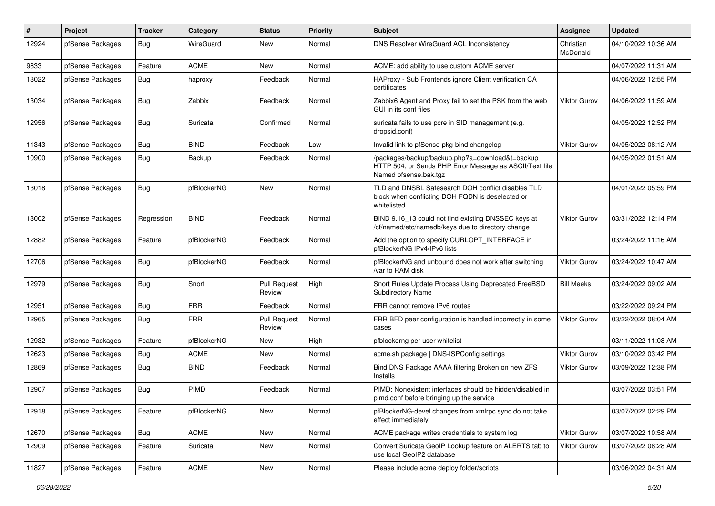| #     | Project          | <b>Tracker</b> | Category    | <b>Status</b>                 | <b>Priority</b> | <b>Subject</b>                                                                                                                      | Assignee              | <b>Updated</b>      |
|-------|------------------|----------------|-------------|-------------------------------|-----------------|-------------------------------------------------------------------------------------------------------------------------------------|-----------------------|---------------------|
| 12924 | pfSense Packages | Bug            | WireGuard   | <b>New</b>                    | Normal          | DNS Resolver WireGuard ACL Inconsistency                                                                                            | Christian<br>McDonald | 04/10/2022 10:36 AM |
| 9833  | pfSense Packages | Feature        | <b>ACME</b> | <b>New</b>                    | Normal          | ACME: add ability to use custom ACME server                                                                                         |                       | 04/07/2022 11:31 AM |
| 13022 | pfSense Packages | Bug            | haproxy     | Feedback                      | Normal          | HAProxy - Sub Frontends ignore Client verification CA<br>certificates                                                               |                       | 04/06/2022 12:55 PM |
| 13034 | pfSense Packages | Bug            | Zabbix      | Feedback                      | Normal          | Zabbix6 Agent and Proxy fail to set the PSK from the web<br>GUI in its conf files                                                   | <b>Viktor Gurov</b>   | 04/06/2022 11:59 AM |
| 12956 | pfSense Packages | Bug            | Suricata    | Confirmed                     | Normal          | suricata fails to use pcre in SID management (e.g.<br>dropsid.conf)                                                                 |                       | 04/05/2022 12:52 PM |
| 11343 | pfSense Packages | <b>Bug</b>     | <b>BIND</b> | Feedback                      | Low             | Invalid link to pfSense-pkg-bind changelog                                                                                          | <b>Viktor Gurov</b>   | 04/05/2022 08:12 AM |
| 10900 | pfSense Packages | Bug            | Backup      | Feedback                      | Normal          | /packages/backup/backup.php?a=download&t=backup<br>HTTP 504, or Sends PHP Error Message as ASCII/Text file<br>Named pfsense.bak.tgz |                       | 04/05/2022 01:51 AM |
| 13018 | pfSense Packages | <b>Bug</b>     | pfBlockerNG | <b>New</b>                    | Normal          | TLD and DNSBL Safesearch DOH conflict disables TLD<br>block when conflicting DOH FQDN is deselected or<br>whitelisted               |                       | 04/01/2022 05:59 PM |
| 13002 | pfSense Packages | Regression     | <b>BIND</b> | Feedback                      | Normal          | BIND 9.16_13 could not find existing DNSSEC keys at<br>/cf/named/etc/namedb/keys due to directory change                            | <b>Viktor Gurov</b>   | 03/31/2022 12:14 PM |
| 12882 | pfSense Packages | Feature        | pfBlockerNG | Feedback                      | Normal          | Add the option to specify CURLOPT_INTERFACE in<br>pfBlockerNG IPv4/IPv6 lists                                                       |                       | 03/24/2022 11:16 AM |
| 12706 | pfSense Packages | <b>Bug</b>     | pfBlockerNG | Feedback                      | Normal          | pfBlockerNG and unbound does not work after switching<br>/var to RAM disk                                                           | Viktor Gurov          | 03/24/2022 10:47 AM |
| 12979 | pfSense Packages | Bug            | Snort       | <b>Pull Request</b><br>Review | High            | Snort Rules Update Process Using Deprecated FreeBSD<br><b>Subdirectory Name</b>                                                     | <b>Bill Meeks</b>     | 03/24/2022 09:02 AM |
| 12951 | pfSense Packages | Bug            | <b>FRR</b>  | Feedback                      | Normal          | FRR cannot remove IPv6 routes                                                                                                       |                       | 03/22/2022 09:24 PM |
| 12965 | pfSense Packages | <b>Bug</b>     | <b>FRR</b>  | <b>Pull Request</b><br>Review | Normal          | FRR BFD peer configuration is handled incorrectly in some<br>cases                                                                  | Viktor Gurov          | 03/22/2022 08:04 AM |
| 12932 | pfSense Packages | Feature        | pfBlockerNG | <b>New</b>                    | High            | pfblockerng per user whitelist                                                                                                      |                       | 03/11/2022 11:08 AM |
| 12623 | pfSense Packages | <b>Bug</b>     | <b>ACME</b> | <b>New</b>                    | Normal          | acme.sh package   DNS-ISPConfig settings                                                                                            | <b>Viktor Gurov</b>   | 03/10/2022 03:42 PM |
| 12869 | pfSense Packages | Bug            | <b>BIND</b> | Feedback                      | Normal          | Bind DNS Package AAAA filtering Broken on new ZFS<br>Installs                                                                       | <b>Viktor Gurov</b>   | 03/09/2022 12:38 PM |
| 12907 | pfSense Packages | <b>Bug</b>     | PIMD        | Feedback                      | Normal          | PIMD: Nonexistent interfaces should be hidden/disabled in<br>pimd.conf before bringing up the service                               |                       | 03/07/2022 03:51 PM |
| 12918 | pfSense Packages | Feature        | pfBlockerNG | New                           | Normal          | pfBlockerNG-devel changes from xmlrpc sync do not take<br>effect immediately                                                        |                       | 03/07/2022 02:29 PM |
| 12670 | pfSense Packages | <b>Bug</b>     | ACME        | New                           | Normal          | ACME package writes credentials to system log                                                                                       | <b>Viktor Gurov</b>   | 03/07/2022 10:58 AM |
| 12909 | pfSense Packages | Feature        | Suricata    | New                           | Normal          | Convert Suricata GeoIP Lookup feature on ALERTS tab to<br>use local GeoIP2 database                                                 | Viktor Gurov          | 03/07/2022 08:28 AM |
| 11827 | pfSense Packages | Feature        | ACME        | New                           | Normal          | Please include acme deploy folder/scripts                                                                                           |                       | 03/06/2022 04:31 AM |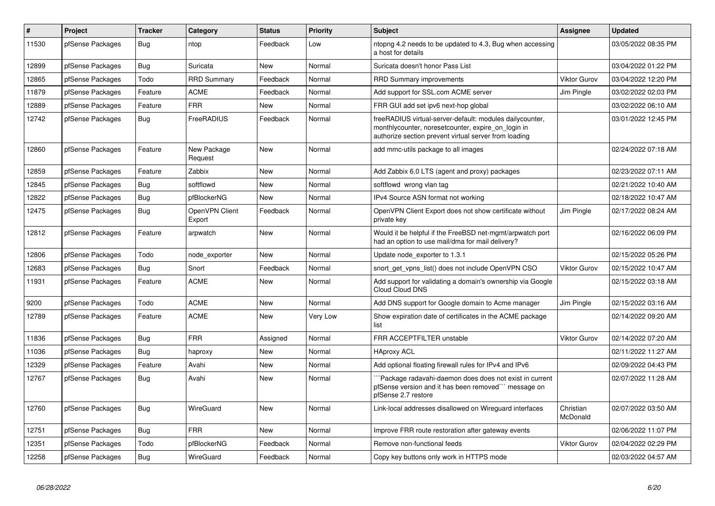| #     | <b>Project</b>   | <b>Tracker</b> | Category                 | <b>Status</b> | <b>Priority</b> | <b>Subject</b>                                                                                                                                                           | <b>Assignee</b>       | <b>Updated</b>      |
|-------|------------------|----------------|--------------------------|---------------|-----------------|--------------------------------------------------------------------------------------------------------------------------------------------------------------------------|-----------------------|---------------------|
| 11530 | pfSense Packages | Bug            | ntop                     | Feedback      | Low             | ntopng 4.2 needs to be updated to 4.3, Bug when accessing<br>a host for details                                                                                          |                       | 03/05/2022 08:35 PM |
| 12899 | pfSense Packages | Bug            | Suricata                 | New           | Normal          | Suricata doesn't honor Pass List                                                                                                                                         |                       | 03/04/2022 01:22 PM |
| 12865 | pfSense Packages | Todo           | <b>RRD Summary</b>       | Feedback      | Normal          | <b>RRD Summary improvements</b>                                                                                                                                          | <b>Viktor Gurov</b>   | 03/04/2022 12:20 PM |
| 11879 | pfSense Packages | Feature        | <b>ACME</b>              | Feedback      | Normal          | Add support for SSL.com ACME server                                                                                                                                      | Jim Pingle            | 03/02/2022 02:03 PM |
| 12889 | pfSense Packages | Feature        | <b>FRR</b>               | New           | Normal          | FRR GUI add set ipv6 next-hop global                                                                                                                                     |                       | 03/02/2022 06:10 AM |
| 12742 | pfSense Packages | <b>Bug</b>     | FreeRADIUS               | Feedback      | Normal          | freeRADIUS virtual-server-default: modules dailycounter,<br>monthlycounter, noreset counter, expire on login in<br>authorize section prevent virtual server from loading |                       | 03/01/2022 12:45 PM |
| 12860 | pfSense Packages | Feature        | New Package<br>Request   | <b>New</b>    | Normal          | add mmc-utils package to all images                                                                                                                                      |                       | 02/24/2022 07:18 AM |
| 12859 | pfSense Packages | Feature        | Zabbix                   | <b>New</b>    | Normal          | Add Zabbix 6.0 LTS (agent and proxy) packages                                                                                                                            |                       | 02/23/2022 07:11 AM |
| 12845 | pfSense Packages | <b>Bug</b>     | softflowd                | <b>New</b>    | Normal          | softflowd wrong vlan tag                                                                                                                                                 |                       | 02/21/2022 10:40 AM |
| 12822 | pfSense Packages | Bug            | pfBlockerNG              | <b>New</b>    | Normal          | IPv4 Source ASN format not working                                                                                                                                       |                       | 02/18/2022 10:47 AM |
| 12475 | pfSense Packages | Bug            | OpenVPN Client<br>Export | Feedback      | Normal          | OpenVPN Client Export does not show certificate without<br>private key                                                                                                   | Jim Pingle            | 02/17/2022 08:24 AM |
| 12812 | pfSense Packages | Feature        | arpwatch                 | <b>New</b>    | Normal          | Would it be helpful if the FreeBSD net-mgmt/arpwatch port<br>had an option to use mail/dma for mail delivery?                                                            |                       | 02/16/2022 06:09 PM |
| 12806 | pfSense Packages | Todo           | node exporter            | New           | Normal          | Update node exporter to 1.3.1                                                                                                                                            |                       | 02/15/2022 05:26 PM |
| 12683 | pfSense Packages | Bug            | Snort                    | Feedback      | Normal          | snort get vpns list() does not include OpenVPN CSO                                                                                                                       | <b>Viktor Gurov</b>   | 02/15/2022 10:47 AM |
| 11931 | pfSense Packages | Feature        | <b>ACME</b>              | New           | Normal          | Add support for validating a domain's ownership via Google<br><b>Cloud Cloud DNS</b>                                                                                     |                       | 02/15/2022 03:18 AM |
| 9200  | pfSense Packages | Todo           | <b>ACME</b>              | <b>New</b>    | Normal          | Add DNS support for Google domain to Acme manager                                                                                                                        | Jim Pingle            | 02/15/2022 03:16 AM |
| 12789 | pfSense Packages | Feature        | <b>ACME</b>              | New           | Very Low        | Show expiration date of certificates in the ACME package<br>list                                                                                                         |                       | 02/14/2022 09:20 AM |
| 11836 | pfSense Packages | Bug            | <b>FRR</b>               | Assigned      | Normal          | FRR ACCEPTFILTER unstable                                                                                                                                                | <b>Viktor Gurov</b>   | 02/14/2022 07:20 AM |
| 11036 | pfSense Packages | Bug            | haproxy                  | <b>New</b>    | Normal          | <b>HAproxy ACL</b>                                                                                                                                                       |                       | 02/11/2022 11:27 AM |
| 12329 | pfSense Packages | Feature        | Avahi                    | <b>New</b>    | Normal          | Add optional floating firewall rules for IPv4 and IPv6                                                                                                                   |                       | 02/09/2022 04:43 PM |
| 12767 | pfSense Packages | Bug            | Avahi                    | <b>New</b>    | Normal          | `Package radavahi-daemon does does not exist in current<br>pfSense version and it has been removed" message on<br>pfSense 2.7 restore                                    |                       | 02/07/2022 11:28 AM |
| 12760 | pfSense Packages | Bug            | WireGuard                | <b>New</b>    | Normal          | Link-local addresses disallowed on Wireguard interfaces                                                                                                                  | Christian<br>McDonald | 02/07/2022 03:50 AM |
| 12751 | pfSense Packages | <b>Bug</b>     | <b>FRR</b>               | <b>New</b>    | Normal          | Improve FRR route restoration after gateway events                                                                                                                       |                       | 02/06/2022 11:07 PM |
| 12351 | pfSense Packages | Todo           | pfBlockerNG              | Feedback      | Normal          | Remove non-functional feeds                                                                                                                                              | <b>Viktor Gurov</b>   | 02/04/2022 02:29 PM |
| 12258 | pfSense Packages | <b>Bug</b>     | WireGuard                | Feedback      | Normal          | Copy key buttons only work in HTTPS mode                                                                                                                                 |                       | 02/03/2022 04:57 AM |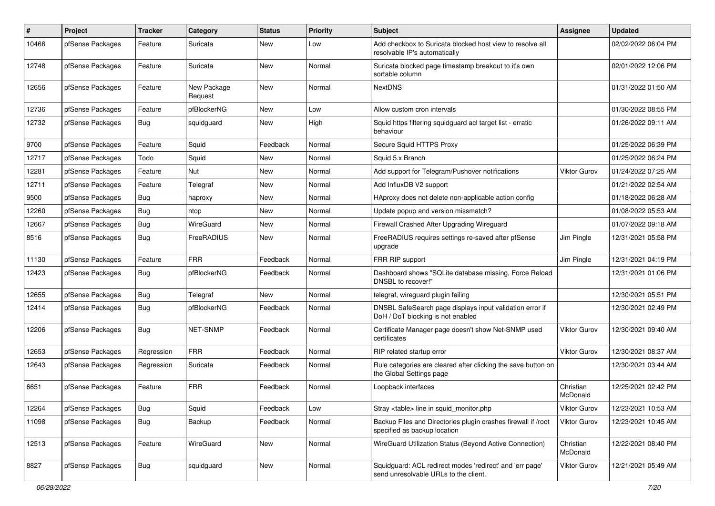| #     | Project          | <b>Tracker</b> | Category               | <b>Status</b> | <b>Priority</b> | <b>Subject</b>                                                                                    | <b>Assignee</b>       | <b>Updated</b>      |
|-------|------------------|----------------|------------------------|---------------|-----------------|---------------------------------------------------------------------------------------------------|-----------------------|---------------------|
| 10466 | pfSense Packages | Feature        | Suricata               | New           | Low             | Add checkbox to Suricata blocked host view to resolve all<br>resolvable IP's automatically        |                       | 02/02/2022 06:04 PM |
| 12748 | pfSense Packages | Feature        | Suricata               | New           | Normal          | Suricata blocked page timestamp breakout to it's own<br>sortable column                           |                       | 02/01/2022 12:06 PM |
| 12656 | pfSense Packages | Feature        | New Package<br>Request | <b>New</b>    | Normal          | <b>NextDNS</b>                                                                                    |                       | 01/31/2022 01:50 AM |
| 12736 | pfSense Packages | Feature        | pfBlockerNG            | New           | Low             | Allow custom cron intervals                                                                       |                       | 01/30/2022 08:55 PM |
| 12732 | pfSense Packages | <b>Bug</b>     | squidguard             | New           | High            | Squid https filtering squidguard acl target list - erratic<br>behaviour                           |                       | 01/26/2022 09:11 AM |
| 9700  | pfSense Packages | Feature        | Squid                  | Feedback      | Normal          | Secure Squid HTTPS Proxy                                                                          |                       | 01/25/2022 06:39 PM |
| 12717 | pfSense Packages | Todo           | Squid                  | New           | Normal          | Squid 5.x Branch                                                                                  |                       | 01/25/2022 06:24 PM |
| 12281 | pfSense Packages | Feature        | <b>Nut</b>             | New           | Normal          | Add support for Telegram/Pushover notifications                                                   | Viktor Gurov          | 01/24/2022 07:25 AM |
| 12711 | pfSense Packages | Feature        | Telegraf               | New           | Normal          | Add InfluxDB V2 support                                                                           |                       | 01/21/2022 02:54 AM |
| 9500  | pfSense Packages | Bug            | haproxy                | New           | Normal          | HAproxy does not delete non-applicable action config                                              |                       | 01/18/2022 06:28 AM |
| 12260 | pfSense Packages | Bug            | ntop                   | New           | Normal          | Update popup and version missmatch?                                                               |                       | 01/08/2022 05:53 AM |
| 12667 | pfSense Packages | Bug            | WireGuard              | New           | Normal          | Firewall Crashed After Upgrading Wireguard                                                        |                       | 01/07/2022 09:18 AM |
| 8516  | pfSense Packages | Bug            | FreeRADIUS             | New           | Normal          | FreeRADIUS requires settings re-saved after pfSense<br>upgrade                                    | Jim Pingle            | 12/31/2021 05:58 PM |
| 11130 | pfSense Packages | Feature        | <b>FRR</b>             | Feedback      | Normal          | FRR RIP support                                                                                   | Jim Pingle            | 12/31/2021 04:19 PM |
| 12423 | pfSense Packages | <b>Bug</b>     | pfBlockerNG            | Feedback      | Normal          | Dashboard shows "SQLite database missing, Force Reload<br>DNSBL to recover!"                      |                       | 12/31/2021 01:06 PM |
| 12655 | pfSense Packages | <b>Bug</b>     | Telegraf               | New           | Normal          | telegraf, wireguard plugin failing                                                                |                       | 12/30/2021 05:51 PM |
| 12414 | pfSense Packages | <b>Bug</b>     | pfBlockerNG            | Feedback      | Normal          | DNSBL SafeSearch page displays input validation error if<br>DoH / DoT blocking is not enabled     |                       | 12/30/2021 02:49 PM |
| 12206 | pfSense Packages | Bug            | NET-SNMP               | Feedback      | Normal          | Certificate Manager page doesn't show Net-SNMP used<br>certificates                               | Viktor Gurov          | 12/30/2021 09:40 AM |
| 12653 | pfSense Packages | Regression     | <b>FRR</b>             | Feedback      | Normal          | RIP related startup error                                                                         | <b>Viktor Gurov</b>   | 12/30/2021 08:37 AM |
| 12643 | pfSense Packages | Regression     | Suricata               | Feedback      | Normal          | Rule categories are cleared after clicking the save button on<br>the Global Settings page         |                       | 12/30/2021 03:44 AM |
| 6651  | pfSense Packages | Feature        | <b>FRR</b>             | Feedback      | Normal          | Loopback interfaces                                                                               | Christian<br>McDonald | 12/25/2021 02:42 PM |
| 12264 | pfSense Packages | <b>Bug</b>     | Squid                  | Feedback      | Low             | Stray <table> line in squid_monitor.php</table>                                                   | Viktor Gurov          | 12/23/2021 10:53 AM |
| 11098 | pfSense Packages | <b>Bug</b>     | Backup                 | Feedback      | Normal          | Backup Files and Directories plugin crashes firewall if /root<br>specified as backup location     | <b>Viktor Gurov</b>   | 12/23/2021 10:45 AM |
| 12513 | pfSense Packages | Feature        | WireGuard              | <b>New</b>    | Normal          | WireGuard Utilization Status (Beyond Active Connection)                                           | Christian<br>McDonald | 12/22/2021 08:40 PM |
| 8827  | pfSense Packages | Bug            | squidguard             | New           | Normal          | Squidguard: ACL redirect modes 'redirect' and 'err page'<br>send unresolvable URLs to the client. | <b>Viktor Gurov</b>   | 12/21/2021 05:49 AM |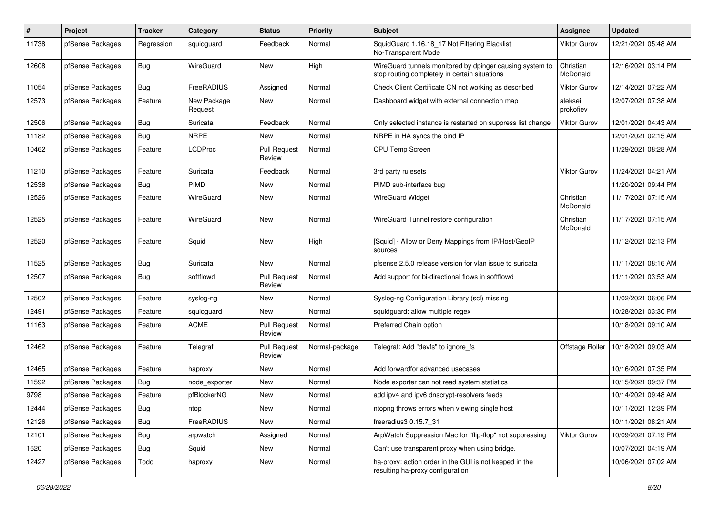| $\sharp$ | Project          | <b>Tracker</b> | Category               | <b>Status</b>                 | <b>Priority</b> | <b>Subject</b>                                                                                            | Assignee              | <b>Updated</b>      |
|----------|------------------|----------------|------------------------|-------------------------------|-----------------|-----------------------------------------------------------------------------------------------------------|-----------------------|---------------------|
| 11738    | pfSense Packages | Regression     | squidguard             | Feedback                      | Normal          | SquidGuard 1.16.18_17 Not Filtering Blacklist<br>No-Transparent Mode                                      | <b>Viktor Gurov</b>   | 12/21/2021 05:48 AM |
| 12608    | pfSense Packages | Bug            | WireGuard              | New                           | High            | WireGuard tunnels monitored by dpinger causing system to<br>stop routing completely in certain situations | Christian<br>McDonald | 12/16/2021 03:14 PM |
| 11054    | pfSense Packages | Bug            | FreeRADIUS             | Assigned                      | Normal          | Check Client Certificate CN not working as described                                                      | <b>Viktor Gurov</b>   | 12/14/2021 07:22 AM |
| 12573    | pfSense Packages | Feature        | New Package<br>Request | New                           | Normal          | Dashboard widget with external connection map                                                             | aleksei<br>prokofiev  | 12/07/2021 07:38 AM |
| 12506    | pfSense Packages | Bug            | Suricata               | Feedback                      | Normal          | Only selected instance is restarted on suppress list change                                               | Viktor Gurov          | 12/01/2021 04:43 AM |
| 11182    | pfSense Packages | <b>Bug</b>     | <b>NRPE</b>            | New                           | Normal          | NRPE in HA syncs the bind IP                                                                              |                       | 12/01/2021 02:15 AM |
| 10462    | pfSense Packages | Feature        | LCDProc                | <b>Pull Request</b><br>Review | Normal          | <b>CPU Temp Screen</b>                                                                                    |                       | 11/29/2021 08:28 AM |
| 11210    | pfSense Packages | Feature        | Suricata               | Feedback                      | Normal          | 3rd party rulesets                                                                                        | <b>Viktor Gurov</b>   | 11/24/2021 04:21 AM |
| 12538    | pfSense Packages | Bug            | PIMD                   | New                           | Normal          | PIMD sub-interface bug                                                                                    |                       | 11/20/2021 09:44 PM |
| 12526    | pfSense Packages | Feature        | <b>WireGuard</b>       | New                           | Normal          | <b>WireGuard Widget</b>                                                                                   | Christian<br>McDonald | 11/17/2021 07:15 AM |
| 12525    | pfSense Packages | Feature        | WireGuard              | <b>New</b>                    | Normal          | WireGuard Tunnel restore configuration                                                                    | Christian<br>McDonald | 11/17/2021 07:15 AM |
| 12520    | pfSense Packages | Feature        | Squid                  | <b>New</b>                    | High            | [Squid] - Allow or Deny Mappings from IP/Host/GeoIP<br>sources                                            |                       | 11/12/2021 02:13 PM |
| 11525    | pfSense Packages | Bug            | Suricata               | New                           | Normal          | pfsense 2.5.0 release version for vlan issue to suricata                                                  |                       | 11/11/2021 08:16 AM |
| 12507    | pfSense Packages | <b>Bug</b>     | softflowd              | <b>Pull Request</b><br>Review | Normal          | Add support for bi-directional flows in softflowd                                                         |                       | 11/11/2021 03:53 AM |
| 12502    | pfSense Packages | Feature        | syslog-ng              | New                           | Normal          | Syslog-ng Configuration Library (scl) missing                                                             |                       | 11/02/2021 06:06 PM |
| 12491    | pfSense Packages | Feature        | squidguard             | <b>New</b>                    | Normal          | squidguard: allow multiple regex                                                                          |                       | 10/28/2021 03:30 PM |
| 11163    | pfSense Packages | Feature        | <b>ACME</b>            | <b>Pull Request</b><br>Review | Normal          | Preferred Chain option                                                                                    |                       | 10/18/2021 09:10 AM |
| 12462    | pfSense Packages | Feature        | Telegraf               | Pull Request<br>Review        | Normal-package  | Telegraf: Add "devfs" to ignore_fs                                                                        | Offstage Roller       | 10/18/2021 09:03 AM |
| 12465    | pfSense Packages | Feature        | haproxy                | New                           | Normal          | Add forwardfor advanced usecases                                                                          |                       | 10/16/2021 07:35 PM |
| 11592    | pfSense Packages | <b>Bug</b>     | node exporter          | New                           | Normal          | Node exporter can not read system statistics                                                              |                       | 10/15/2021 09:37 PM |
| 9798     | pfSense Packages | Feature        | pfBlockerNG            | New                           | Normal          | add ipv4 and ipv6 dnscrypt-resolvers feeds                                                                |                       | 10/14/2021 09:48 AM |
| 12444    | pfSense Packages | <b>Bug</b>     | ntop                   | New                           | Normal          | ntopng throws errors when viewing single host                                                             |                       | 10/11/2021 12:39 PM |
| 12126    | pfSense Packages | <b>Bug</b>     | FreeRADIUS             | New                           | Normal          | freeradius3 0.15.7 31                                                                                     |                       | 10/11/2021 08:21 AM |
| 12101    | pfSense Packages | <b>Bug</b>     | arpwatch               | Assigned                      | Normal          | ArpWatch Suppression Mac for "flip-flop" not suppressing                                                  | <b>Viktor Gurov</b>   | 10/09/2021 07:19 PM |
| 1620     | pfSense Packages | <b>Bug</b>     | Squid                  | New                           | Normal          | Can't use transparent proxy when using bridge.                                                            |                       | 10/07/2021 04:19 AM |
| 12427    | pfSense Packages | Todo           | haproxy                | New                           | Normal          | ha-proxy: action order in the GUI is not keeped in the<br>resulting ha-proxy configuration                |                       | 10/06/2021 07:02 AM |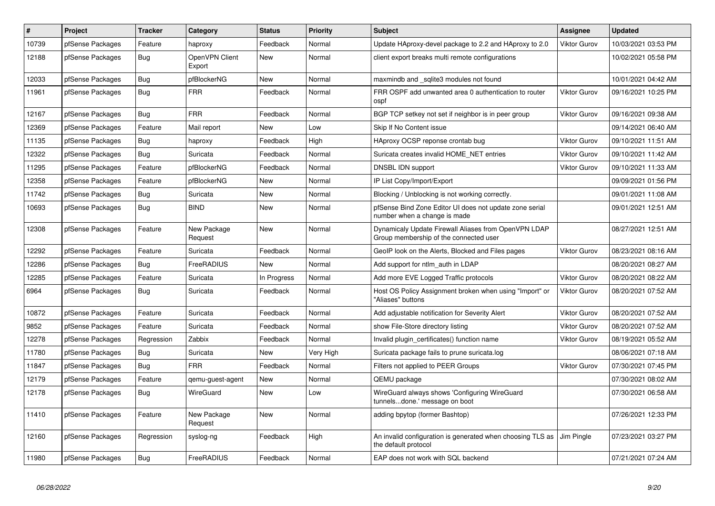| $\#$  | <b>Project</b>   | <b>Tracker</b> | Category                 | <b>Status</b> | <b>Priority</b> | <b>Subject</b>                                                                                 | <b>Assignee</b>     | <b>Updated</b>      |
|-------|------------------|----------------|--------------------------|---------------|-----------------|------------------------------------------------------------------------------------------------|---------------------|---------------------|
| 10739 | pfSense Packages | Feature        | haproxy                  | Feedback      | Normal          | Update HAproxy-devel package to 2.2 and HAproxy to 2.0                                         | <b>Viktor Gurov</b> | 10/03/2021 03:53 PM |
| 12188 | pfSense Packages | <b>Bug</b>     | OpenVPN Client<br>Export | New           | Normal          | client export breaks multi remote configurations                                               |                     | 10/02/2021 05:58 PM |
| 12033 | pfSense Packages | <b>Bug</b>     | pfBlockerNG              | New           | Normal          | maxmindb and sqlite3 modules not found                                                         |                     | 10/01/2021 04:42 AM |
| 11961 | pfSense Packages | Bug            | <b>FRR</b>               | Feedback      | Normal          | FRR OSPF add unwanted area 0 authentication to router<br>ospf                                  | <b>Viktor Gurov</b> | 09/16/2021 10:25 PM |
| 12167 | pfSense Packages | Bug            | <b>FRR</b>               | Feedback      | Normal          | BGP TCP setkey not set if neighbor is in peer group                                            | <b>Viktor Gurov</b> | 09/16/2021 09:38 AM |
| 12369 | pfSense Packages | Feature        | Mail report              | New           | Low             | Skip If No Content issue                                                                       |                     | 09/14/2021 06:40 AM |
| 11135 | pfSense Packages | Bug            | haproxy                  | Feedback      | High            | HAproxy OCSP reponse crontab bug                                                               | <b>Viktor Gurov</b> | 09/10/2021 11:51 AM |
| 12322 | pfSense Packages | Bug            | Suricata                 | Feedback      | Normal          | Suricata creates invalid HOME NET entries                                                      | <b>Viktor Gurov</b> | 09/10/2021 11:42 AM |
| 11295 | pfSense Packages | Feature        | pfBlockerNG              | Feedback      | Normal          | <b>DNSBL IDN support</b>                                                                       | <b>Viktor Gurov</b> | 09/10/2021 11:33 AM |
| 12358 | pfSense Packages | Feature        | pfBlockerNG              | New           | Normal          | IP List Copy/Import/Export                                                                     |                     | 09/09/2021 01:56 PM |
| 11742 | pfSense Packages | Bug            | Suricata                 | New           | Normal          | Blocking / Unblocking is not working correctly.                                                |                     | 09/01/2021 11:08 AM |
| 10693 | pfSense Packages | Bug            | <b>BIND</b>              | New           | Normal          | pfSense Bind Zone Editor UI does not update zone serial<br>number when a change is made        |                     | 09/01/2021 12:51 AM |
| 12308 | pfSense Packages | Feature        | New Package<br>Request   | <b>New</b>    | Normal          | Dynamicaly Update Firewall Aliases from OpenVPN LDAP<br>Group membership of the connected user |                     | 08/27/2021 12:51 AM |
| 2292  | pfSense Packages | Feature        | Suricata                 | Feedback      | Normal          | GeoIP look on the Alerts, Blocked and Files pages                                              | <b>Viktor Gurov</b> | 08/23/2021 08:16 AM |
| 12286 | pfSense Packages | <b>Bug</b>     | <b>FreeRADIUS</b>        | New           | Normal          | Add support for ntlm auth in LDAP                                                              |                     | 08/20/2021 08:27 AM |
| 12285 | pfSense Packages | Feature        | Suricata                 | In Progress   | Normal          | Add more EVE Logged Traffic protocols                                                          | <b>Viktor Gurov</b> | 08/20/2021 08:22 AM |
| 6964  | pfSense Packages | Bug            | Suricata                 | Feedback      | Normal          | Host OS Policy Assignment broken when using "Import" or<br>"Aliases" buttons                   | <b>Viktor Gurov</b> | 08/20/2021 07:52 AM |
| 10872 | pfSense Packages | Feature        | Suricata                 | Feedback      | Normal          | Add adjustable notification for Severity Alert                                                 | <b>Viktor Gurov</b> | 08/20/2021 07:52 AM |
| 9852  | pfSense Packages | Feature        | Suricata                 | Feedback      | Normal          | show File-Store directory listing                                                              | <b>Viktor Gurov</b> | 08/20/2021 07:52 AM |
| 12278 | pfSense Packages | Regression     | Zabbix                   | Feedback      | Normal          | Invalid plugin certificates() function name                                                    | <b>Viktor Gurov</b> | 08/19/2021 05:52 AM |
| 11780 | pfSense Packages | Bug            | Suricata                 | New           | Very High       | Suricata package fails to prune suricata.log                                                   |                     | 08/06/2021 07:18 AM |
| 11847 | pfSense Packages | Bug            | <b>FRR</b>               | Feedback      | Normal          | Filters not applied to PEER Groups                                                             | <b>Viktor Gurov</b> | 07/30/2021 07:45 PM |
| 12179 | pfSense Packages | Feature        | qemu-guest-agent         | New           | Normal          | QEMU package                                                                                   |                     | 07/30/2021 08:02 AM |
| 12178 | pfSense Packages | Bug            | WireGuard                | <b>New</b>    | Low             | WireGuard always shows 'Configuring WireGuard<br>tunnelsdone.' message on boot                 |                     | 07/30/2021 06:58 AM |
| 11410 | pfSense Packages | Feature        | New Package<br>Request   | New           | Normal          | adding bpytop (former Bashtop)                                                                 |                     | 07/26/2021 12:33 PM |
| 12160 | pfSense Packages | Regression     | syslog-ng                | Feedback      | High            | An invalid configuration is generated when choosing TLS as<br>the default protocol             | Jim Pingle          | 07/23/2021 03:27 PM |
| 11980 | pfSense Packages | Bug            | <b>FreeRADIUS</b>        | Feedback      | Normal          | EAP does not work with SQL backend                                                             |                     | 07/21/2021 07:24 AM |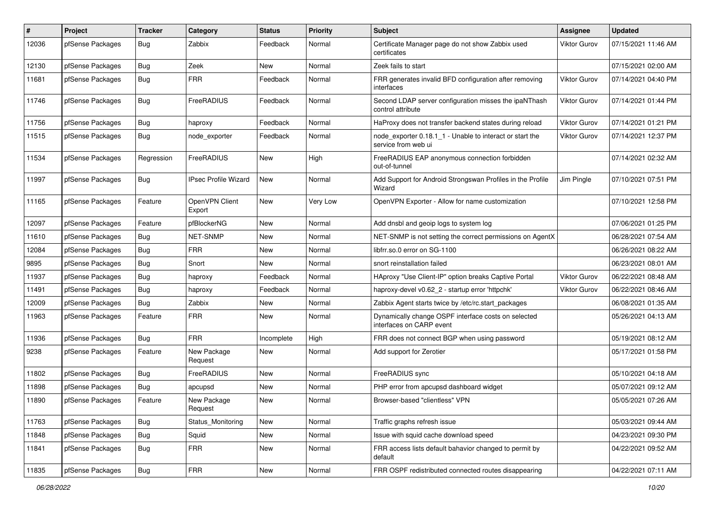| #     | Project          | Tracker    | Category                    | <b>Status</b> | Priority | <b>Subject</b>                                                                  | Assignee            | <b>Updated</b>      |
|-------|------------------|------------|-----------------------------|---------------|----------|---------------------------------------------------------------------------------|---------------------|---------------------|
| 12036 | pfSense Packages | Bug        | Zabbix                      | Feedback      | Normal   | Certificate Manager page do not show Zabbix used<br>certificates                | <b>Viktor Gurov</b> | 07/15/2021 11:46 AM |
| 12130 | pfSense Packages | <b>Bug</b> | Zeek                        | New           | Normal   | Zeek fails to start                                                             |                     | 07/15/2021 02:00 AM |
| 11681 | pfSense Packages | Bug        | <b>FRR</b>                  | Feedback      | Normal   | FRR generates invalid BFD configuration after removing<br>interfaces            | <b>Viktor Gurov</b> | 07/14/2021 04:40 PM |
| 11746 | pfSense Packages | Bug        | FreeRADIUS                  | Feedback      | Normal   | Second LDAP server configuration misses the ipaNThash<br>control attribute      | <b>Viktor Gurov</b> | 07/14/2021 01:44 PM |
| 11756 | pfSense Packages | <b>Bug</b> | haproxy                     | Feedback      | Normal   | HaProxy does not transfer backend states during reload                          | <b>Viktor Gurov</b> | 07/14/2021 01:21 PM |
| 11515 | pfSense Packages | <b>Bug</b> | node exporter               | Feedback      | Normal   | node exporter 0.18.1 1 - Unable to interact or start the<br>service from web ui | <b>Viktor Gurov</b> | 07/14/2021 12:37 PM |
| 11534 | pfSense Packages | Regression | FreeRADIUS                  | <b>New</b>    | High     | FreeRADIUS EAP anonymous connection forbidden<br>out-of-tunnel                  |                     | 07/14/2021 02:32 AM |
| 11997 | pfSense Packages | <b>Bug</b> | <b>IPsec Profile Wizard</b> | <b>New</b>    | Normal   | Add Support for Android Strongswan Profiles in the Profile<br>Wizard            | Jim Pingle          | 07/10/2021 07:51 PM |
| 11165 | pfSense Packages | Feature    | OpenVPN Client<br>Export    | New           | Very Low | OpenVPN Exporter - Allow for name customization                                 |                     | 07/10/2021 12:58 PM |
| 12097 | pfSense Packages | Feature    | pfBlockerNG                 | New           | Normal   | Add dnsbl and geoip logs to system log                                          |                     | 07/06/2021 01:25 PM |
| 11610 | pfSense Packages | Bug        | NET-SNMP                    | New           | Normal   | NET-SNMP is not setting the correct permissions on AgentX                       |                     | 06/28/2021 07:54 AM |
| 12084 | pfSense Packages | Bug        | <b>FRR</b>                  | New           | Normal   | libfrr.so.0 error on SG-1100                                                    |                     | 06/26/2021 08:22 AM |
| 9895  | pfSense Packages | Bug        | Snort                       | New           | Normal   | snort reinstallation failed                                                     |                     | 06/23/2021 08:01 AM |
| 11937 | pfSense Packages | <b>Bug</b> | haproxy                     | Feedback      | Normal   | HAproxy "Use Client-IP" option breaks Captive Portal                            | <b>Viktor Gurov</b> | 06/22/2021 08:48 AM |
| 11491 | pfSense Packages | <b>Bug</b> | haproxy                     | Feedback      | Normal   | haproxy-devel v0.62 2 - startup error 'httpchk'                                 | <b>Viktor Gurov</b> | 06/22/2021 08:46 AM |
| 12009 | pfSense Packages | Bug        | Zabbix                      | New           | Normal   | Zabbix Agent starts twice by /etc/rc.start packages                             |                     | 06/08/2021 01:35 AM |
| 11963 | pfSense Packages | Feature    | <b>FRR</b>                  | New           | Normal   | Dynamically change OSPF interface costs on selected<br>interfaces on CARP event |                     | 05/26/2021 04:13 AM |
| 11936 | pfSense Packages | <b>Bug</b> | <b>FRR</b>                  | Incomplete    | High     | FRR does not connect BGP when using password                                    |                     | 05/19/2021 08:12 AM |
| 9238  | pfSense Packages | Feature    | New Package<br>Request      | New           | Normal   | Add support for Zerotier                                                        |                     | 05/17/2021 01:58 PM |
| 11802 | pfSense Packages | <b>Bug</b> | FreeRADIUS                  | New           | Normal   | FreeRADIUS sync                                                                 |                     | 05/10/2021 04:18 AM |
| 11898 | pfSense Packages | Bug        | apcupsd                     | New           | Normal   | PHP error from apcupsd dashboard widget                                         |                     | 05/07/2021 09:12 AM |
| 11890 | pfSense Packages | Feature    | New Package<br>Request      | New           | Normal   | Browser-based "clientless" VPN                                                  |                     | 05/05/2021 07:26 AM |
| 11763 | pfSense Packages | Bug        | Status_Monitoring           | New           | Normal   | Traffic graphs refresh issue                                                    |                     | 05/03/2021 09:44 AM |
| 11848 | pfSense Packages | Bug        | Squid                       | New           | Normal   | Issue with squid cache download speed                                           |                     | 04/23/2021 09:30 PM |
| 11841 | pfSense Packages | <b>Bug</b> | <b>FRR</b>                  | New           | Normal   | FRR access lists default bahavior changed to permit by<br>default               |                     | 04/22/2021 09:52 AM |
| 11835 | pfSense Packages | Bug        | <b>FRR</b>                  | New           | Normal   | FRR OSPF redistributed connected routes disappearing                            |                     | 04/22/2021 07:11 AM |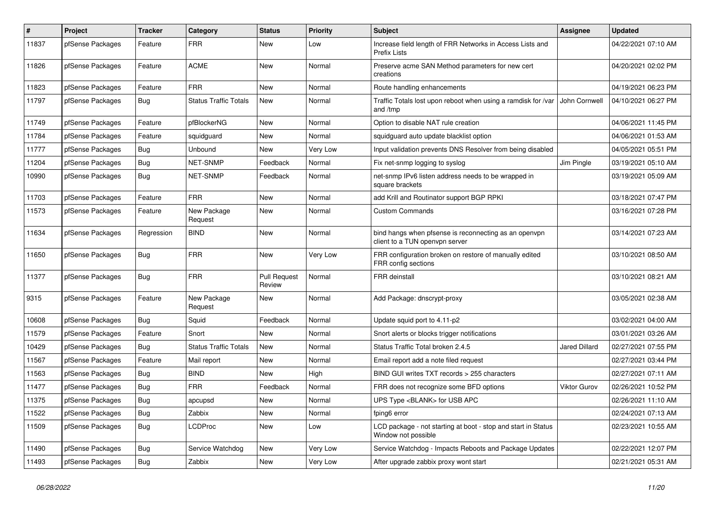| $\#$  | Project          | <b>Tracker</b> | Category                     | <b>Status</b>          | <b>Priority</b> | <b>Subject</b>                                                                          | <b>Assignee</b>      | <b>Updated</b>      |
|-------|------------------|----------------|------------------------------|------------------------|-----------------|-----------------------------------------------------------------------------------------|----------------------|---------------------|
| 11837 | pfSense Packages | Feature        | <b>FRR</b>                   | New                    | Low             | Increase field length of FRR Networks in Access Lists and<br><b>Prefix Lists</b>        |                      | 04/22/2021 07:10 AM |
| 11826 | pfSense Packages | Feature        | <b>ACME</b>                  | <b>New</b>             | Normal          | Preserve acme SAN Method parameters for new cert<br>creations                           |                      | 04/20/2021 02:02 PM |
| 11823 | pfSense Packages | Feature        | <b>FRR</b>                   | <b>New</b>             | Normal          | Route handling enhancements                                                             |                      | 04/19/2021 06:23 PM |
| 11797 | pfSense Packages | <b>Bug</b>     | <b>Status Traffic Totals</b> | <b>New</b>             | Normal          | Traffic Totals lost upon reboot when using a ramdisk for /var<br>and /tmp               | John Cornwell        | 04/10/2021 06:27 PM |
| 11749 | pfSense Packages | Feature        | pfBlockerNG                  | <b>New</b>             | Normal          | Option to disable NAT rule creation                                                     |                      | 04/06/2021 11:45 PM |
| 11784 | pfSense Packages | Feature        | squidguard                   | <b>New</b>             | Normal          | squidguard auto update blacklist option                                                 |                      | 04/06/2021 01:53 AM |
| 11777 | pfSense Packages | Bug            | Unbound                      | New                    | Very Low        | Input validation prevents DNS Resolver from being disabled                              |                      | 04/05/2021 05:51 PM |
| 11204 | pfSense Packages | <b>Bug</b>     | <b>NET-SNMP</b>              | Feedback               | Normal          | Fix net-snmp logging to syslog                                                          | Jim Pingle           | 03/19/2021 05:10 AM |
| 10990 | pfSense Packages | <b>Bug</b>     | <b>NET-SNMP</b>              | Feedback               | Normal          | net-snmp IPv6 listen address needs to be wrapped in<br>square brackets                  |                      | 03/19/2021 05:09 AM |
| 11703 | pfSense Packages | Feature        | <b>FRR</b>                   | <b>New</b>             | Normal          | add Krill and Routinator support BGP RPKI                                               |                      | 03/18/2021 07:47 PM |
| 11573 | pfSense Packages | Feature        | New Package<br>Request       | <b>New</b>             | Normal          | <b>Custom Commands</b>                                                                  |                      | 03/16/2021 07:28 PM |
| 11634 | pfSense Packages | Regression     | <b>BIND</b>                  | New                    | Normal          | bind hangs when pfsense is reconnecting as an openypn<br>client to a TUN openvpn server |                      | 03/14/2021 07:23 AM |
| 11650 | pfSense Packages | <b>Bug</b>     | <b>FRR</b>                   | <b>New</b>             | Very Low        | FRR configuration broken on restore of manually edited<br>FRR config sections           |                      | 03/10/2021 08:50 AM |
| 11377 | pfSense Packages | Bug            | <b>FRR</b>                   | Pull Request<br>Review | Normal          | <b>FRR</b> deinstall                                                                    |                      | 03/10/2021 08:21 AM |
| 9315  | pfSense Packages | Feature        | New Package<br>Request       | New                    | Normal          | Add Package: dnscrypt-proxy                                                             |                      | 03/05/2021 02:38 AM |
| 10608 | pfSense Packages | Bug            | Squid                        | Feedback               | Normal          | Update squid port to 4.11-p2                                                            |                      | 03/02/2021 04:00 AM |
| 11579 | pfSense Packages | Feature        | Snort                        | New                    | Normal          | Snort alerts or blocks trigger notifications                                            |                      | 03/01/2021 03:26 AM |
| 10429 | pfSense Packages | Bug            | <b>Status Traffic Totals</b> | <b>New</b>             | Normal          | Status Traffic Total broken 2.4.5                                                       | <b>Jared Dillard</b> | 02/27/2021 07:55 PM |
| 11567 | pfSense Packages | Feature        | Mail report                  | <b>New</b>             | Normal          | Email report add a note filed request                                                   |                      | 02/27/2021 03:44 PM |
| 11563 | pfSense Packages | Bug            | <b>BIND</b>                  | New                    | High            | BIND GUI writes TXT records > 255 characters                                            |                      | 02/27/2021 07:11 AM |
| 11477 | pfSense Packages | Bug            | <b>FRR</b>                   | Feedback               | Normal          | FRR does not recognize some BFD options                                                 | <b>Viktor Gurov</b>  | 02/26/2021 10:52 PM |
| 11375 | pfSense Packages | Bug            | apcupsd                      | New                    | Normal          | UPS Type <blank> for USB APC</blank>                                                    |                      | 02/26/2021 11:10 AM |
| 11522 | pfSense Packages | Bug            | Zabbix                       | <b>New</b>             | Normal          | fping6 error                                                                            |                      | 02/24/2021 07:13 AM |
| 11509 | pfSense Packages | <b>Bug</b>     | <b>LCDProc</b>               | <b>New</b>             | Low             | LCD package - not starting at boot - stop and start in Status<br>Window not possible    |                      | 02/23/2021 10:55 AM |
| 11490 | pfSense Packages | Bug            | Service Watchdog             | New                    | Very Low        | Service Watchdog - Impacts Reboots and Package Updates                                  |                      | 02/22/2021 12:07 PM |
| 11493 | pfSense Packages | Bug            | Zabbix                       | <b>New</b>             | Very Low        | After upgrade zabbix proxy wont start                                                   |                      | 02/21/2021 05:31 AM |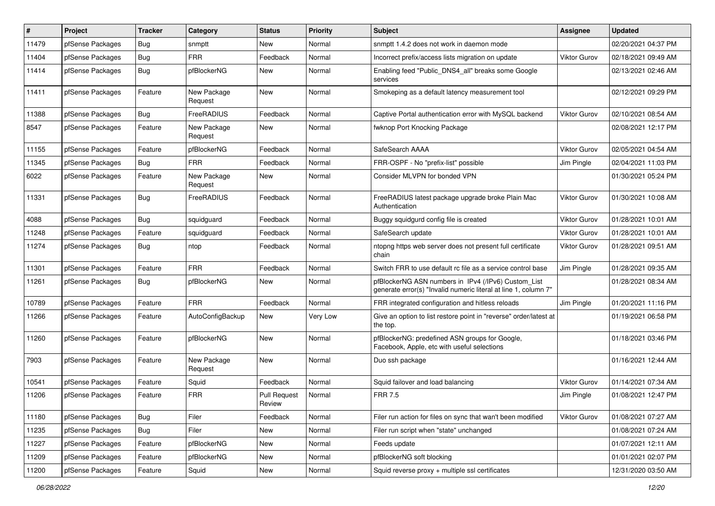| #     | Project          | <b>Tracker</b> | Category               | <b>Status</b>                 | <b>Priority</b> | <b>Subject</b>                                                                                                         | Assignee            | <b>Updated</b>      |
|-------|------------------|----------------|------------------------|-------------------------------|-----------------|------------------------------------------------------------------------------------------------------------------------|---------------------|---------------------|
| 11479 | pfSense Packages | <b>Bug</b>     | snmptt                 | New                           | Normal          | snmptt 1.4.2 does not work in daemon mode                                                                              |                     | 02/20/2021 04:37 PM |
| 11404 | pfSense Packages | Bug            | <b>FRR</b>             | Feedback                      | Normal          | Incorrect prefix/access lists migration on update                                                                      | Viktor Gurov        | 02/18/2021 09:49 AM |
| 11414 | pfSense Packages | Bug            | pfBlockerNG            | New                           | Normal          | Enabling feed "Public_DNS4_all" breaks some Google<br>services                                                         |                     | 02/13/2021 02:46 AM |
| 11411 | pfSense Packages | Feature        | New Package<br>Request | <b>New</b>                    | Normal          | Smokeping as a default latency measurement tool                                                                        |                     | 02/12/2021 09:29 PM |
| 11388 | pfSense Packages | <b>Bug</b>     | FreeRADIUS             | Feedback                      | Normal          | Captive Portal authentication error with MySQL backend                                                                 | Viktor Gurov        | 02/10/2021 08:54 AM |
| 8547  | pfSense Packages | Feature        | New Package<br>Request | New                           | Normal          | fwknop Port Knocking Package                                                                                           |                     | 02/08/2021 12:17 PM |
| 11155 | pfSense Packages | Feature        | pfBlockerNG            | Feedback                      | Normal          | SafeSearch AAAA                                                                                                        | Viktor Gurov        | 02/05/2021 04:54 AM |
| 11345 | pfSense Packages | Bug            | <b>FRR</b>             | Feedback                      | Normal          | FRR-OSPF - No "prefix-list" possible                                                                                   | Jim Pingle          | 02/04/2021 11:03 PM |
| 6022  | pfSense Packages | Feature        | New Package<br>Request | New                           | Normal          | Consider MLVPN for bonded VPN                                                                                          |                     | 01/30/2021 05:24 PM |
| 11331 | pfSense Packages | Bug            | FreeRADIUS             | Feedback                      | Normal          | FreeRADIUS latest package upgrade broke Plain Mac<br>Authentication                                                    | Viktor Gurov        | 01/30/2021 10:08 AM |
| 4088  | pfSense Packages | Bug            | squidguard             | Feedback                      | Normal          | Buggy squidgurd config file is created                                                                                 | <b>Viktor Gurov</b> | 01/28/2021 10:01 AM |
| 11248 | pfSense Packages | Feature        | squidguard             | Feedback                      | Normal          | SafeSearch update                                                                                                      | <b>Viktor Gurov</b> | 01/28/2021 10:01 AM |
| 11274 | pfSense Packages | <b>Bug</b>     | ntop                   | Feedback                      | Normal          | ntopng https web server does not present full certificate<br>chain                                                     | Viktor Gurov        | 01/28/2021 09:51 AM |
| 11301 | pfSense Packages | Feature        | <b>FRR</b>             | Feedback                      | Normal          | Switch FRR to use default rc file as a service control base                                                            | Jim Pingle          | 01/28/2021 09:35 AM |
| 11261 | pfSense Packages | Bug            | pfBlockerNG            | <b>New</b>                    | Normal          | pfBlockerNG ASN numbers in IPv4 (/IPv6) Custom_List<br>generate error(s) "Invalid numeric literal at line 1, column 7" |                     | 01/28/2021 08:34 AM |
| 10789 | pfSense Packages | Feature        | <b>FRR</b>             | Feedback                      | Normal          | FRR integrated configuration and hitless reloads                                                                       | Jim Pingle          | 01/20/2021 11:16 PM |
| 11266 | pfSense Packages | Feature        | AutoConfigBackup       | New                           | Very Low        | Give an option to list restore point in "reverse" order/latest at<br>the top.                                          |                     | 01/19/2021 06:58 PM |
| 11260 | pfSense Packages | Feature        | pfBlockerNG            | New                           | Normal          | pfBlockerNG: predefined ASN groups for Google,<br>Facebook, Apple, etc with useful selections                          |                     | 01/18/2021 03:46 PM |
| 7903  | pfSense Packages | Feature        | New Package<br>Request | <b>New</b>                    | Normal          | Duo ssh package                                                                                                        |                     | 01/16/2021 12:44 AM |
| 10541 | pfSense Packages | Feature        | Squid                  | Feedback                      | Normal          | Squid failover and load balancing                                                                                      | Viktor Gurov        | 01/14/2021 07:34 AM |
| 11206 | pfSense Packages | Feature        | <b>FRR</b>             | <b>Pull Request</b><br>Review | Normal          | <b>FRR 7.5</b>                                                                                                         | Jim Pingle          | 01/08/2021 12:47 PM |
| 11180 | pfSense Packages | Bug            | Filer                  | Feedback                      | Normal          | Filer run action for files on sync that wan't been modified                                                            | Viktor Gurov        | 01/08/2021 07:27 AM |
| 11235 | pfSense Packages | Bug            | Filer                  | New                           | Normal          | Filer run script when "state" unchanged                                                                                |                     | 01/08/2021 07:24 AM |
| 11227 | pfSense Packages | Feature        | pfBlockerNG            | New                           | Normal          | Feeds update                                                                                                           |                     | 01/07/2021 12:11 AM |
| 11209 | pfSense Packages | Feature        | pfBlockerNG            | New                           | Normal          | pfBlockerNG soft blocking                                                                                              |                     | 01/01/2021 02:07 PM |
| 11200 | pfSense Packages | Feature        | Squid                  | New                           | Normal          | Squid reverse proxy + multiple ssl certificates                                                                        |                     | 12/31/2020 03:50 AM |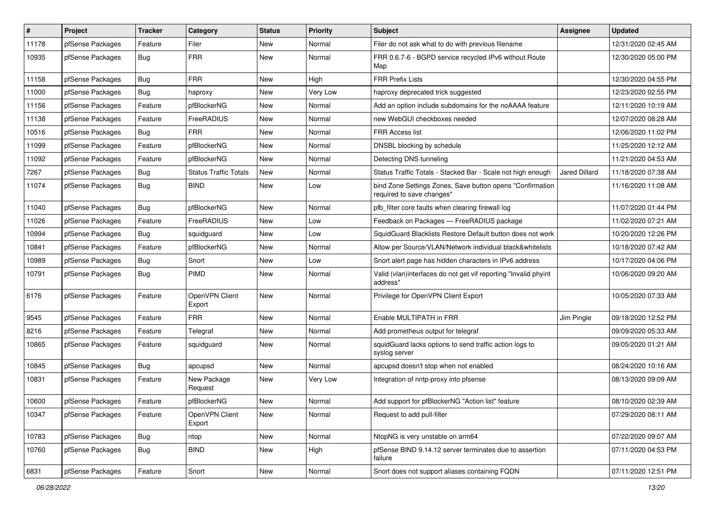| $\pmb{\#}$ | Project          | <b>Tracker</b> | Category                     | <b>Status</b> | <b>Priority</b> | Subject                                                                                 | <b>Assignee</b>      | <b>Updated</b>      |
|------------|------------------|----------------|------------------------------|---------------|-----------------|-----------------------------------------------------------------------------------------|----------------------|---------------------|
| 11178      | pfSense Packages | Feature        | Filer                        | New           | Normal          | Filer do not ask what to do with previous filename                                      |                      | 12/31/2020 02:45 AM |
| 10935      | pfSense Packages | <b>Bug</b>     | <b>FRR</b>                   | <b>New</b>    | Normal          | FRR 0.6.7-6 - BGPD service recycled IPv6 without Route<br>Map                           |                      | 12/30/2020 05:00 PM |
| 11158      | pfSense Packages | <b>Bug</b>     | <b>FRR</b>                   | <b>New</b>    | High            | <b>FRR Prefix Lists</b>                                                                 |                      | 12/30/2020 04:55 PM |
| 11000      | pfSense Packages | Bug            | haproxy                      | New           | Very Low        | haproxy deprecated trick suggested                                                      |                      | 12/23/2020 02:55 PM |
| 11156      | pfSense Packages | Feature        | pfBlockerNG                  | New           | Normal          | Add an option include subdomains for the noAAAA feature                                 |                      | 12/11/2020 10:19 AM |
| 11138      | pfSense Packages | Feature        | FreeRADIUS                   | New           | Normal          | new WebGUI checkboxes needed                                                            |                      | 12/07/2020 08:28 AM |
| 10516      | pfSense Packages | Bug            | <b>FRR</b>                   | <b>New</b>    | Normal          | <b>FRR Access list</b>                                                                  |                      | 12/06/2020 11:02 PM |
| 11099      | pfSense Packages | Feature        | pfBlockerNG                  | New           | Normal          | DNSBL blocking by schedule                                                              |                      | 11/25/2020 12:12 AM |
| 11092      | pfSense Packages | Feature        | pfBlockerNG                  | <b>New</b>    | Normal          | Detecting DNS tunneling                                                                 |                      | 11/21/2020 04:53 AM |
| 7267       | pfSense Packages | Bug            | <b>Status Traffic Totals</b> | <b>New</b>    | Normal          | Status Traffic Totals - Stacked Bar - Scale not high enough                             | <b>Jared Dillard</b> | 11/18/2020 07:38 AM |
| 11074      | pfSense Packages | <b>Bug</b>     | <b>BIND</b>                  | New           | Low             | bind Zone Settings Zones, Save button opens "Confirmation"<br>required to save changes" |                      | 11/16/2020 11:08 AM |
| 11040      | pfSense Packages | <b>Bug</b>     | pfBlockerNG                  | New           | Normal          | pfb filter core faults when clearing firewall log                                       |                      | 11/07/2020 01:44 PM |
| 11026      | pfSense Packages | Feature        | FreeRADIUS                   | <b>New</b>    | Low             | Feedback on Packages - FreeRADIUS package                                               |                      | 11/02/2020 07:21 AM |
| 10994      | pfSense Packages | Bug            | squidguard                   | <b>New</b>    | Low             | SquidGuard Blacklists Restore Default button does not work                              |                      | 10/20/2020 12:26 PM |
| 10841      | pfSense Packages | Feature        | pfBlockerNG                  | <b>New</b>    | Normal          | Allow per Source/VLAN/Network individual black&whitelists                               |                      | 10/18/2020 07:42 AM |
| 10989      | pfSense Packages | <b>Bug</b>     | Snort                        | <b>New</b>    | Low             | Snort alert page has hidden characters in IPv6 address                                  |                      | 10/17/2020 04:06 PM |
| 10791      | pfSense Packages | <b>Bug</b>     | <b>PIMD</b>                  | New           | Normal          | Valid (vlan)interfaces do not get vif reporting "Invalid phyint<br>address"             |                      | 10/06/2020 09:20 AM |
| 6176       | pfSense Packages | Feature        | OpenVPN Client<br>Export     | <b>New</b>    | Normal          | Privilege for OpenVPN Client Export                                                     |                      | 10/05/2020 07:33 AM |
| 9545       | pfSense Packages | Feature        | <b>FRR</b>                   | <b>New</b>    | Normal          | Enable MULTIPATH in FRR                                                                 | Jim Pingle           | 09/18/2020 12:52 PM |
| 8216       | pfSense Packages | Feature        | Telegraf                     | <b>New</b>    | Normal          | Add prometheus output for telegraf                                                      |                      | 09/09/2020 05:33 AM |
| 10865      | pfSense Packages | Feature        | squidguard                   | New           | Normal          | squidGuard lacks options to send traffic action logs to<br>syslog server                |                      | 09/05/2020 01:21 AM |
| 10845      | pfSense Packages | Bug            | apcupsd                      | <b>New</b>    | Normal          | apcupsd doesn't stop when not enabled                                                   |                      | 08/24/2020 10:16 AM |
| 10831      | pfSense Packages | Feature        | New Package<br>Request       | <b>New</b>    | Very Low        | Integration of nntp-proxy into pfsense                                                  |                      | 08/13/2020 09:09 AM |
| 10600      | pfSense Packages | Feature        | pfBlockerNG                  | New           | Normal          | Add support for pfBlockerNG "Action list" feature                                       |                      | 08/10/2020 02:39 AM |
| 10347      | pfSense Packages | Feature        | OpenVPN Client<br>Export     | New           | Normal          | Request to add pull-filter                                                              |                      | 07/29/2020 08:11 AM |
| 10783      | pfSense Packages | Bug            | ntop                         | New           | Normal          | NtopNG is very unstable on arm64                                                        |                      | 07/22/2020 09:07 AM |
| 10760      | pfSense Packages | Bug            | <b>BIND</b>                  | New           | High            | pfSense BIND 9.14.12 server terminates due to assertion<br>failure                      |                      | 07/11/2020 04:53 PM |
| 6831       | pfSense Packages | Feature        | Snort                        | New           | Normal          | Snort does not support aliases containing FQDN                                          |                      | 07/11/2020 12:51 PM |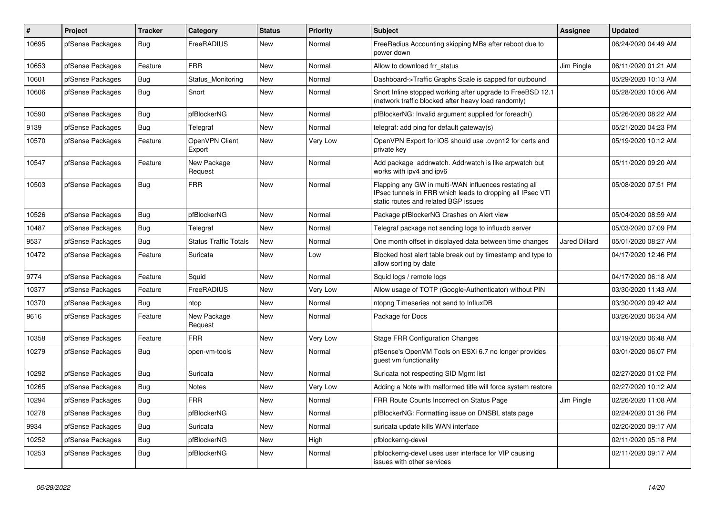| $\vert$ # | Project          | <b>Tracker</b> | Category                     | <b>Status</b> | <b>Priority</b> | <b>Subject</b>                                                                                                                                              | <b>Assignee</b>      | <b>Updated</b>      |
|-----------|------------------|----------------|------------------------------|---------------|-----------------|-------------------------------------------------------------------------------------------------------------------------------------------------------------|----------------------|---------------------|
| 10695     | pfSense Packages | Bug            | FreeRADIUS                   | <b>New</b>    | Normal          | Free Radius Accounting skipping MBs after reboot due to<br>power down                                                                                       |                      | 06/24/2020 04:49 AM |
| 10653     | pfSense Packages | Feature        | <b>FRR</b>                   | <b>New</b>    | Normal          | Allow to download frr status                                                                                                                                | Jim Pingle           | 06/11/2020 01:21 AM |
| 10601     | pfSense Packages | Bug            | Status_Monitoring            | <b>New</b>    | Normal          | Dashboard->Traffic Graphs Scale is capped for outbound                                                                                                      |                      | 05/29/2020 10:13 AM |
| 10606     | pfSense Packages | Bug            | Snort                        | <b>New</b>    | Normal          | Snort Inline stopped working after upgrade to FreeBSD 12.1<br>(network traffic blocked after heavy load randomly)                                           |                      | 05/28/2020 10:06 AM |
| 10590     | pfSense Packages | Bug            | pfBlockerNG                  | <b>New</b>    | Normal          | pfBlockerNG: Invalid argument supplied for foreach()                                                                                                        |                      | 05/26/2020 08:22 AM |
| 9139      | pfSense Packages | <b>Bug</b>     | Telegraf                     | <b>New</b>    | Normal          | telegraf: add ping for default gateway(s)                                                                                                                   |                      | 05/21/2020 04:23 PM |
| 10570     | pfSense Packages | Feature        | OpenVPN Client<br>Export     | <b>New</b>    | Very Low        | OpenVPN Export for iOS should use .ovpn12 for certs and<br>private key                                                                                      |                      | 05/19/2020 10:12 AM |
| 10547     | pfSense Packages | Feature        | New Package<br>Request       | <b>New</b>    | Normal          | Add package addrwatch. Addrwatch is like arpwatch but<br>works with ipv4 and ipv6                                                                           |                      | 05/11/2020 09:20 AM |
| 10503     | pfSense Packages | Bug            | <b>FRR</b>                   | New           | Normal          | Flapping any GW in multi-WAN influences restating all<br>IPsec tunnels in FRR which leads to dropping all IPsec VTI<br>static routes and related BGP issues |                      | 05/08/2020 07:51 PM |
| 10526     | pfSense Packages | <b>Bug</b>     | pfBlockerNG                  | <b>New</b>    | Normal          | Package pfBlockerNG Crashes on Alert view                                                                                                                   |                      | 05/04/2020 08:59 AM |
| 10487     | pfSense Packages | <b>Bug</b>     | Telegraf                     | <b>New</b>    | Normal          | Telegraf package not sending logs to influxdb server                                                                                                        |                      | 05/03/2020 07:09 PM |
| 9537      | pfSense Packages | <b>Bug</b>     | <b>Status Traffic Totals</b> | <b>New</b>    | Normal          | One month offset in displayed data between time changes                                                                                                     | <b>Jared Dillard</b> | 05/01/2020 08:27 AM |
| 10472     | pfSense Packages | Feature        | Suricata                     | <b>New</b>    | Low             | Blocked host alert table break out by timestamp and type to<br>allow sorting by date                                                                        |                      | 04/17/2020 12:46 PM |
| 9774      | pfSense Packages | Feature        | Squid                        | <b>New</b>    | Normal          | Squid logs / remote logs                                                                                                                                    |                      | 04/17/2020 06:18 AM |
| 10377     | pfSense Packages | Feature        | FreeRADIUS                   | <b>New</b>    | Very Low        | Allow usage of TOTP (Google-Authenticator) without PIN                                                                                                      |                      | 03/30/2020 11:43 AM |
| 10370     | pfSense Packages | <b>Bug</b>     | ntop                         | <b>New</b>    | Normal          | ntopng Timeseries not send to InfluxDB                                                                                                                      |                      | 03/30/2020 09:42 AM |
| 9616      | pfSense Packages | Feature        | New Package<br>Request       | New           | Normal          | Package for Docs                                                                                                                                            |                      | 03/26/2020 06:34 AM |
| 10358     | pfSense Packages | Feature        | <b>FRR</b>                   | <b>New</b>    | Very Low        | <b>Stage FRR Configuration Changes</b>                                                                                                                      |                      | 03/19/2020 06:48 AM |
| 10279     | pfSense Packages | Bug            | open-vm-tools                | <b>New</b>    | Normal          | pfSense's OpenVM Tools on ESXi 6.7 no longer provides<br>guest vm functionality                                                                             |                      | 03/01/2020 06:07 PM |
| 10292     | pfSense Packages | Bug            | Suricata                     | <b>New</b>    | Normal          | Suricata not respecting SID Mgmt list                                                                                                                       |                      | 02/27/2020 01:02 PM |
| 10265     | pfSense Packages | <b>Bug</b>     | <b>Notes</b>                 | <b>New</b>    | Very Low        | Adding a Note with malformed title will force system restore                                                                                                |                      | 02/27/2020 10:12 AM |
| 10294     | pfSense Packages | <b>Bug</b>     | <b>FRR</b>                   | <b>New</b>    | Normal          | FRR Route Counts Incorrect on Status Page                                                                                                                   | Jim Pingle           | 02/26/2020 11:08 AM |
| 10278     | pfSense Packages | <b>Bug</b>     | pfBlockerNG                  | <b>New</b>    | Normal          | pfBlockerNG: Formatting issue on DNSBL stats page                                                                                                           |                      | 02/24/2020 01:36 PM |
| 9934      | pfSense Packages | <b>Bug</b>     | Suricata                     | <b>New</b>    | Normal          | suricata update kills WAN interface                                                                                                                         |                      | 02/20/2020 09:17 AM |
| 10252     | pfSense Packages | Bug            | pfBlockerNG                  | <b>New</b>    | High            | pfblockerng-devel                                                                                                                                           |                      | 02/11/2020 05:18 PM |
| 10253     | pfSense Packages | Bug            | pfBlockerNG                  | New           | Normal          | pfblockerng-devel uses user interface for VIP causing<br>issues with other services                                                                         |                      | 02/11/2020 09:17 AM |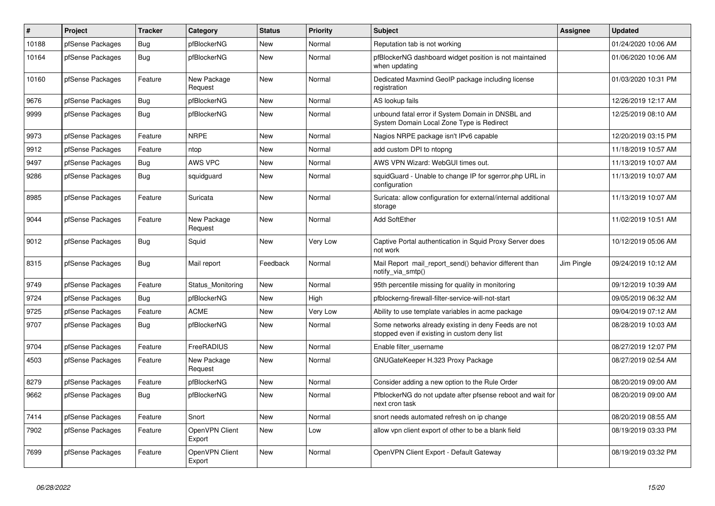| $\vert$ # | <b>Project</b>   | <b>Tracker</b> | Category                 | <b>Status</b> | <b>Priority</b> | <b>Subject</b>                                                                                       | <b>Assignee</b> | <b>Updated</b>      |
|-----------|------------------|----------------|--------------------------|---------------|-----------------|------------------------------------------------------------------------------------------------------|-----------------|---------------------|
| 10188     | pfSense Packages | <b>Bug</b>     | pfBlockerNG              | <b>New</b>    | Normal          | Reputation tab is not working                                                                        |                 | 01/24/2020 10:06 AM |
| 10164     | pfSense Packages | <b>Bug</b>     | pfBlockerNG              | <b>New</b>    | Normal          | pfBlockerNG dashboard widget position is not maintained<br>when updating                             |                 | 01/06/2020 10:06 AM |
| 10160     | pfSense Packages | Feature        | New Package<br>Request   | <b>New</b>    | Normal          | Dedicated Maxmind GeoIP package including license<br>registration                                    |                 | 01/03/2020 10:31 PM |
| 9676      | pfSense Packages | Bug            | pfBlockerNG              | <b>New</b>    | Normal          | AS lookup fails                                                                                      |                 | 12/26/2019 12:17 AM |
| 9999      | pfSense Packages | <b>Bug</b>     | pfBlockerNG              | <b>New</b>    | Normal          | unbound fatal error if System Domain in DNSBL and<br>System Domain Local Zone Type is Redirect       |                 | 12/25/2019 08:10 AM |
| 9973      | pfSense Packages | Feature        | <b>NRPE</b>              | <b>New</b>    | Normal          | Nagios NRPE package isn't IPv6 capable                                                               |                 | 12/20/2019 03:15 PM |
| 9912      | pfSense Packages | Feature        | ntop                     | <b>New</b>    | Normal          | add custom DPI to ntopng                                                                             |                 | 11/18/2019 10:57 AM |
| 9497      | pfSense Packages | Bug            | AWS VPC                  | <b>New</b>    | Normal          | AWS VPN Wizard: WebGUI times out.                                                                    |                 | 11/13/2019 10:07 AM |
| 9286      | pfSense Packages | <b>Bug</b>     | squidguard               | <b>New</b>    | Normal          | squidGuard - Unable to change IP for sgerror.php URL in<br>configuration                             |                 | 11/13/2019 10:07 AM |
| 8985      | pfSense Packages | Feature        | Suricata                 | <b>New</b>    | Normal          | Suricata: allow configuration for external/internal additional<br>storage                            |                 | 11/13/2019 10:07 AM |
| 9044      | pfSense Packages | Feature        | New Package<br>Request   | <b>New</b>    | Normal          | <b>Add SoftEther</b>                                                                                 |                 | 11/02/2019 10:51 AM |
| 9012      | pfSense Packages | <b>Bug</b>     | Squid                    | <b>New</b>    | Very Low        | Captive Portal authentication in Squid Proxy Server does<br>not work                                 |                 | 10/12/2019 05:06 AM |
| 8315      | pfSense Packages | Bug            | Mail report              | Feedback      | Normal          | Mail Report mail report send() behavior different than<br>notify_via_smtp()                          | Jim Pingle      | 09/24/2019 10:12 AM |
| 9749      | pfSense Packages | Feature        | Status Monitoring        | <b>New</b>    | Normal          | 95th percentile missing for quality in monitoring                                                    |                 | 09/12/2019 10:39 AM |
| 9724      | pfSense Packages | <b>Bug</b>     | pfBlockerNG              | <b>New</b>    | High            | pfblockerng-firewall-filter-service-will-not-start                                                   |                 | 09/05/2019 06:32 AM |
| 9725      | pfSense Packages | Feature        | <b>ACME</b>              | <b>New</b>    | Very Low        | Ability to use template variables in acme package                                                    |                 | 09/04/2019 07:12 AM |
| 9707      | pfSense Packages | Bug            | pfBlockerNG              | <b>New</b>    | Normal          | Some networks already existing in deny Feeds are not<br>stopped even if existing in custom deny list |                 | 08/28/2019 10:03 AM |
| 9704      | pfSense Packages | Feature        | FreeRADIUS               | <b>New</b>    | Normal          | Enable filter_username                                                                               |                 | 08/27/2019 12:07 PM |
| 4503      | pfSense Packages | Feature        | New Package<br>Request   | <b>New</b>    | Normal          | GNUGateKeeper H.323 Proxy Package                                                                    |                 | 08/27/2019 02:54 AM |
| 8279      | pfSense Packages | Feature        | pfBlockerNG              | <b>New</b>    | Normal          | Consider adding a new option to the Rule Order                                                       |                 | 08/20/2019 09:00 AM |
| 9662      | pfSense Packages | <b>Bug</b>     | pfBlockerNG              | <b>New</b>    | Normal          | PfblockerNG do not update after pfsense reboot and wait for<br>next cron task                        |                 | 08/20/2019 09:00 AM |
| 7414      | pfSense Packages | Feature        | Snort                    | New           | Normal          | snort needs automated refresh on ip change                                                           |                 | 08/20/2019 08:55 AM |
| 7902      | pfSense Packages | Feature        | OpenVPN Client<br>Export | New           | Low             | allow vpn client export of other to be a blank field                                                 |                 | 08/19/2019 03:33 PM |
| 7699      | pfSense Packages | Feature        | OpenVPN Client<br>Export | <b>New</b>    | Normal          | OpenVPN Client Export - Default Gateway                                                              |                 | 08/19/2019 03:32 PM |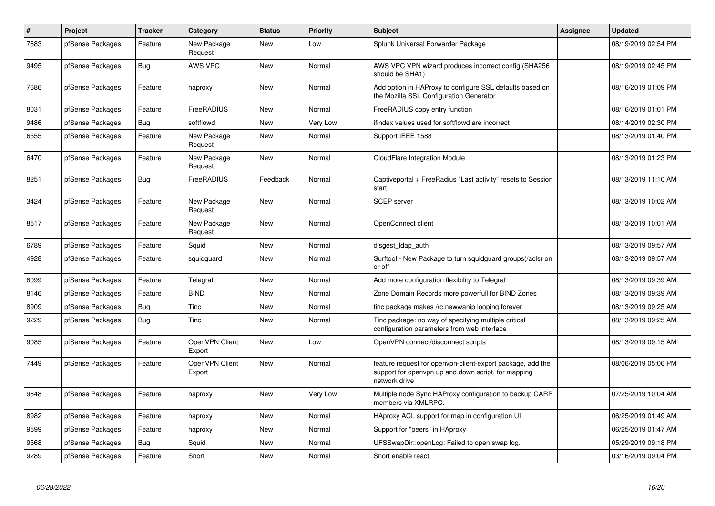| $\#$ | Project          | <b>Tracker</b> | Category                 | <b>Status</b> | <b>Priority</b> | <b>Subject</b>                                                                                                                     | <b>Assignee</b> | <b>Updated</b>      |
|------|------------------|----------------|--------------------------|---------------|-----------------|------------------------------------------------------------------------------------------------------------------------------------|-----------------|---------------------|
| 7683 | pfSense Packages | Feature        | New Package<br>Request   | <b>New</b>    | Low             | Splunk Universal Forwarder Package                                                                                                 |                 | 08/19/2019 02:54 PM |
| 9495 | pfSense Packages | <b>Bug</b>     | AWS VPC                  | <b>New</b>    | Normal          | AWS VPC VPN wizard produces incorrect config (SHA256)<br>should be SHA1)                                                           |                 | 08/19/2019 02:45 PM |
| 7686 | pfSense Packages | Feature        | haproxy                  | <b>New</b>    | Normal          | Add option in HAProxy to configure SSL defaults based on<br>the Mozilla SSL Configuration Generator                                |                 | 08/16/2019 01:09 PM |
| 8031 | pfSense Packages | Feature        | FreeRADIUS               | <b>New</b>    | Normal          | FreeRADIUS copy entry function                                                                                                     |                 | 08/16/2019 01:01 PM |
| 9486 | pfSense Packages | Bug            | softflowd                | <b>New</b>    | Very Low        | ifindex values used for softflowd are incorrect                                                                                    |                 | 08/14/2019 02:30 PM |
| 6555 | pfSense Packages | Feature        | New Package<br>Request   | <b>New</b>    | Normal          | Support IEEE 1588                                                                                                                  |                 | 08/13/2019 01:40 PM |
| 6470 | pfSense Packages | Feature        | New Package<br>Request   | <b>New</b>    | Normal          | <b>CloudFlare Integration Module</b>                                                                                               |                 | 08/13/2019 01:23 PM |
| 8251 | pfSense Packages | Bug            | FreeRADIUS               | Feedback      | Normal          | Captiveportal + FreeRadius "Last activity" resets to Session<br>start                                                              |                 | 08/13/2019 11:10 AM |
| 3424 | pfSense Packages | Feature        | New Package<br>Request   | <b>New</b>    | Normal          | <b>SCEP</b> server                                                                                                                 |                 | 08/13/2019 10:02 AM |
| 8517 | pfSense Packages | Feature        | New Package<br>Request   | <b>New</b>    | Normal          | OpenConnect client                                                                                                                 |                 | 08/13/2019 10:01 AM |
| 6789 | pfSense Packages | Feature        | Squid                    | <b>New</b>    | Normal          | disgest_ldap_auth                                                                                                                  |                 | 08/13/2019 09:57 AM |
| 4928 | pfSense Packages | Feature        | squidguard               | <b>New</b>    | Normal          | Surftool - New Package to turn squidguard groups(/acls) on<br>or off                                                               |                 | 08/13/2019 09:57 AM |
| 8099 | pfSense Packages | Feature        | Telegraf                 | <b>New</b>    | Normal          | Add more configuration flexibility to Telegraf                                                                                     |                 | 08/13/2019 09:39 AM |
| 8146 | pfSense Packages | Feature        | <b>BIND</b>              | <b>New</b>    | Normal          | Zone Domain Records more powerfull for BIND Zones                                                                                  |                 | 08/13/2019 09:39 AM |
| 8909 | pfSense Packages | Bug            | Tinc                     | <b>New</b>    | Normal          | tinc package makes /rc.newwanip looping forever                                                                                    |                 | 08/13/2019 09:25 AM |
| 9229 | pfSense Packages | Bug            | Tinc                     | <b>New</b>    | Normal          | Tinc package: no way of specifying multiple critical<br>configuration parameters from web interface                                |                 | 08/13/2019 09:25 AM |
| 9085 | pfSense Packages | Feature        | OpenVPN Client<br>Export | New           | Low             | OpenVPN connect/disconnect scripts                                                                                                 |                 | 08/13/2019 09:15 AM |
| 7449 | pfSense Packages | Feature        | OpenVPN Client<br>Export | <b>New</b>    | Normal          | feature request for openypn-client-export package, add the<br>support for openvpn up and down script, for mapping<br>network drive |                 | 08/06/2019 05:06 PM |
| 9648 | pfSense Packages | Feature        | haproxy                  | <b>New</b>    | Very Low        | Multiple node Sync HAProxy configuration to backup CARP<br>members via XMLRPC.                                                     |                 | 07/25/2019 10:04 AM |
| 8982 | pfSense Packages | Feature        | haproxy                  | <b>New</b>    | Normal          | HAproxy ACL support for map in configuration UI                                                                                    |                 | 06/25/2019 01:49 AM |
| 9599 | pfSense Packages | Feature        | haproxy                  | New           | Normal          | Support for "peers" in HAproxy                                                                                                     |                 | 06/25/2019 01:47 AM |
| 9568 | pfSense Packages | <b>Bug</b>     | Squid                    | <b>New</b>    | Normal          | UFSSwapDir::openLog: Failed to open swap log.                                                                                      |                 | 05/29/2019 09:18 PM |
| 9289 | pfSense Packages | Feature        | Snort                    | <b>New</b>    | Normal          | Snort enable react                                                                                                                 |                 | 03/16/2019 09:04 PM |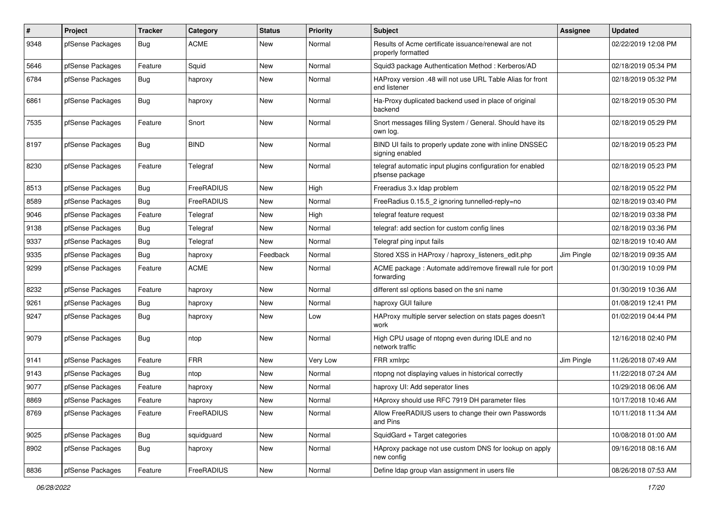| $\pmb{\#}$ | Project          | <b>Tracker</b> | Category    | <b>Status</b> | Priority | <b>Subject</b>                                                                | Assignee   | <b>Updated</b>      |
|------------|------------------|----------------|-------------|---------------|----------|-------------------------------------------------------------------------------|------------|---------------------|
| 9348       | pfSense Packages | <b>Bug</b>     | <b>ACME</b> | New           | Normal   | Results of Acme certificate issuance/renewal are not<br>properly formatted    |            | 02/22/2019 12:08 PM |
| 5646       | pfSense Packages | Feature        | Squid       | New           | Normal   | Squid3 package Authentication Method: Kerberos/AD                             |            | 02/18/2019 05:34 PM |
| 6784       | pfSense Packages | <b>Bug</b>     | haproxy     | New           | Normal   | HAProxy version .48 will not use URL Table Alias for front<br>end listener    |            | 02/18/2019 05:32 PM |
| 6861       | pfSense Packages | Bug            | haproxy     | <b>New</b>    | Normal   | Ha-Proxy duplicated backend used in place of original<br>backend              |            | 02/18/2019 05:30 PM |
| 7535       | pfSense Packages | Feature        | Snort       | New           | Normal   | Snort messages filling System / General. Should have its<br>own log.          |            | 02/18/2019 05:29 PM |
| 8197       | pfSense Packages | <b>Bug</b>     | <b>BIND</b> | New           | Normal   | BIND UI fails to properly update zone with inline DNSSEC<br>signing enabled   |            | 02/18/2019 05:23 PM |
| 8230       | pfSense Packages | Feature        | Telegraf    | <b>New</b>    | Normal   | telegraf automatic input plugins configuration for enabled<br>pfsense package |            | 02/18/2019 05:23 PM |
| 8513       | pfSense Packages | Bug            | FreeRADIUS  | <b>New</b>    | High     | Freeradius 3.x Idap problem                                                   |            | 02/18/2019 05:22 PM |
| 8589       | pfSense Packages | <b>Bug</b>     | FreeRADIUS  | <b>New</b>    | Normal   | FreeRadius 0.15.5_2 ignoring tunnelled-reply=no                               |            | 02/18/2019 03:40 PM |
| 9046       | pfSense Packages | Feature        | Telegraf    | <b>New</b>    | High     | telegraf feature request                                                      |            | 02/18/2019 03:38 PM |
| 9138       | pfSense Packages | <b>Bug</b>     | Telegraf    | New           | Normal   | telegraf: add section for custom config lines                                 |            | 02/18/2019 03:36 PM |
| 9337       | pfSense Packages | Bug            | Telegraf    | New           | Normal   | Telegraf ping input fails                                                     |            | 02/18/2019 10:40 AM |
| 9335       | pfSense Packages | <b>Bug</b>     | haproxy     | Feedback      | Normal   | Stored XSS in HAProxy / haproxy_listeners_edit.php                            | Jim Pingle | 02/18/2019 09:35 AM |
| 9299       | pfSense Packages | Feature        | <b>ACME</b> | New           | Normal   | ACME package : Automate add/remove firewall rule for port<br>forwarding       |            | 01/30/2019 10:09 PM |
| 8232       | pfSense Packages | Feature        | haproxy     | New           | Normal   | different ssl options based on the sni name                                   |            | 01/30/2019 10:36 AM |
| 9261       | pfSense Packages | <b>Bug</b>     | haproxy     | New           | Normal   | haproxy GUI failure                                                           |            | 01/08/2019 12:41 PM |
| 9247       | pfSense Packages | Bug            | haproxy     | <b>New</b>    | Low      | HAProxy multiple server selection on stats pages doesn't<br>work              |            | 01/02/2019 04:44 PM |
| 9079       | pfSense Packages | <b>Bug</b>     | ntop        | New           | Normal   | High CPU usage of ntopng even during IDLE and no<br>network traffic           |            | 12/16/2018 02:40 PM |
| 9141       | pfSense Packages | Feature        | <b>FRR</b>  | New           | Very Low | FRR xmlrpc                                                                    | Jim Pingle | 11/26/2018 07:49 AM |
| 9143       | pfSense Packages | <b>Bug</b>     | ntop        | New           | Normal   | ntopng not displaying values in historical correctly                          |            | 11/22/2018 07:24 AM |
| 9077       | pfSense Packages | Feature        | haproxy     | New           | Normal   | haproxy UI: Add seperator lines                                               |            | 10/29/2018 06:06 AM |
| 8869       | pfSense Packages | Feature        | haproxy     | New           | Normal   | HAproxy should use RFC 7919 DH parameter files                                |            | 10/17/2018 10:46 AM |
| 8769       | pfSense Packages | Feature        | FreeRADIUS  | New           | Normal   | Allow FreeRADIUS users to change their own Passwords<br>and Pins              |            | 10/11/2018 11:34 AM |
| 9025       | pfSense Packages | Bug            | squidguard  | New           | Normal   | SquidGard + Target categories                                                 |            | 10/08/2018 01:00 AM |
| 8902       | pfSense Packages | <b>Bug</b>     | haproxy     | New           | Normal   | HAproxy package not use custom DNS for lookup on apply<br>new config          |            | 09/16/2018 08:16 AM |
| 8836       | pfSense Packages | Feature        | FreeRADIUS  | New           | Normal   | Define Idap group vlan assignment in users file                               |            | 08/26/2018 07:53 AM |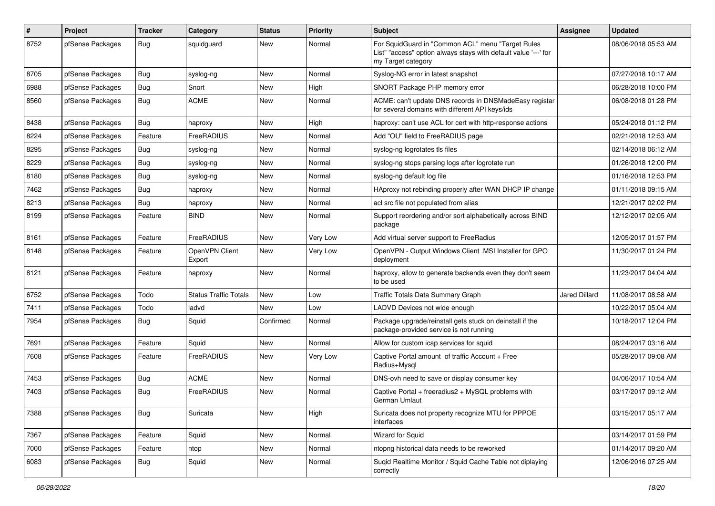| $\pmb{\#}$ | Project          | <b>Tracker</b> | Category                     | <b>Status</b> | <b>Priority</b> | <b>Subject</b>                                                                                                                             | <b>Assignee</b>      | <b>Updated</b>      |
|------------|------------------|----------------|------------------------------|---------------|-----------------|--------------------------------------------------------------------------------------------------------------------------------------------|----------------------|---------------------|
| 8752       | pfSense Packages | Bug            | squidguard                   | New           | Normal          | For SquidGuard in "Common ACL" menu "Target Rules<br>List" "access" option always stays with default value '---' for<br>my Target category |                      | 08/06/2018 05:53 AM |
| 8705       | pfSense Packages | <b>Bug</b>     | syslog-ng                    | <b>New</b>    | Normal          | Syslog-NG error in latest snapshot                                                                                                         |                      | 07/27/2018 10:17 AM |
| 6988       | pfSense Packages | Bug            | Snort                        | <b>New</b>    | High            | SNORT Package PHP memory error                                                                                                             |                      | 06/28/2018 10:00 PM |
| 8560       | pfSense Packages | Bug            | <b>ACME</b>                  | New           | Normal          | ACME: can't update DNS records in DNSMadeEasy registar<br>for several domains with different API keys/ids                                  |                      | 06/08/2018 01:28 PM |
| 8438       | pfSense Packages | Bug            | haproxy                      | <b>New</b>    | High            | haproxy: can't use ACL for cert with http-response actions                                                                                 |                      | 05/24/2018 01:12 PM |
| 8224       | pfSense Packages | Feature        | FreeRADIUS                   | <b>New</b>    | Normal          | Add "OU" field to FreeRADIUS page                                                                                                          |                      | 02/21/2018 12:53 AM |
| 8295       | pfSense Packages | <b>Bug</b>     | syslog-ng                    | <b>New</b>    | Normal          | syslog-ng logrotates tls files                                                                                                             |                      | 02/14/2018 06:12 AM |
| 8229       | pfSense Packages | <b>Bug</b>     | syslog-ng                    | <b>New</b>    | Normal          | syslog-ng stops parsing logs after logrotate run                                                                                           |                      | 01/26/2018 12:00 PM |
| 8180       | pfSense Packages | <b>Bug</b>     | syslog-ng                    | <b>New</b>    | Normal          | syslog-ng default log file                                                                                                                 |                      | 01/16/2018 12:53 PM |
| 7462       | pfSense Packages | <b>Bug</b>     | haproxy                      | <b>New</b>    | Normal          | HAproxy not rebinding properly after WAN DHCP IP change                                                                                    |                      | 01/11/2018 09:15 AM |
| 8213       | pfSense Packages | <b>Bug</b>     | haproxy                      | <b>New</b>    | Normal          | acl src file not populated from alias                                                                                                      |                      | 12/21/2017 02:02 PM |
| 8199       | pfSense Packages | Feature        | <b>BIND</b>                  | <b>New</b>    | Normal          | Support reordering and/or sort alphabetically across BIND<br>package                                                                       |                      | 12/12/2017 02:05 AM |
| 8161       | pfSense Packages | Feature        | FreeRADIUS                   | <b>New</b>    | Very Low        | Add virtual server support to FreeRadius                                                                                                   |                      | 12/05/2017 01:57 PM |
| 8148       | pfSense Packages | Feature        | OpenVPN Client<br>Export     | <b>New</b>    | Very Low        | OpenVPN - Output Windows Client .MSI Installer for GPO<br>deployment                                                                       |                      | 11/30/2017 01:24 PM |
| 8121       | pfSense Packages | Feature        | haproxy                      | <b>New</b>    | Normal          | haproxy, allow to generate backends even they don't seem<br>to be used                                                                     |                      | 11/23/2017 04:04 AM |
| 6752       | pfSense Packages | Todo           | <b>Status Traffic Totals</b> | <b>New</b>    | Low             | Traffic Totals Data Summary Graph                                                                                                          | <b>Jared Dillard</b> | 11/08/2017 08:58 AM |
| 7411       | pfSense Packages | Todo           | ladvd                        | New           | Low             | LADVD Devices not wide enough                                                                                                              |                      | 10/22/2017 05:04 AM |
| 7954       | pfSense Packages | Bug            | Squid                        | Confirmed     | Normal          | Package upgrade/reinstall gets stuck on deinstall if the<br>package-provided service is not running                                        |                      | 10/18/2017 12:04 PM |
| 7691       | pfSense Packages | Feature        | Squid                        | <b>New</b>    | Normal          | Allow for custom icap services for squid                                                                                                   |                      | 08/24/2017 03:16 AM |
| 7608       | pfSense Packages | Feature        | FreeRADIUS                   | New           | Very Low        | Captive Portal amount of traffic Account + Free<br>Radius+Mysql                                                                            |                      | 05/28/2017 09:08 AM |
| 7453       | pfSense Packages | <b>Bug</b>     | <b>ACME</b>                  | <b>New</b>    | Normal          | DNS-ovh need to save or display consumer key                                                                                               |                      | 04/06/2017 10:54 AM |
| 7403       | pfSense Packages | Bug            | FreeRADIUS                   | <b>New</b>    | Normal          | Captive Portal + freeradius2 + MySQL problems with<br>German Umlaut                                                                        |                      | 03/17/2017 09:12 AM |
| 7388       | pfSense Packages | Bug            | Suricata                     | New           | High            | Suricata does not property recognize MTU for PPPOE<br>interfaces                                                                           |                      | 03/15/2017 05:17 AM |
| 7367       | pfSense Packages | Feature        | Squid                        | New           | Normal          | Wizard for Squid                                                                                                                           |                      | 03/14/2017 01:59 PM |
| 7000       | pfSense Packages | Feature        | ntop                         | New           | Normal          | ntopng historical data needs to be reworked                                                                                                |                      | 01/14/2017 09:20 AM |
| 6083       | pfSense Packages | <b>Bug</b>     | Squid                        | New           | Normal          | Suqid Realtime Monitor / Squid Cache Table not diplaying<br>correctly                                                                      |                      | 12/06/2016 07:25 AM |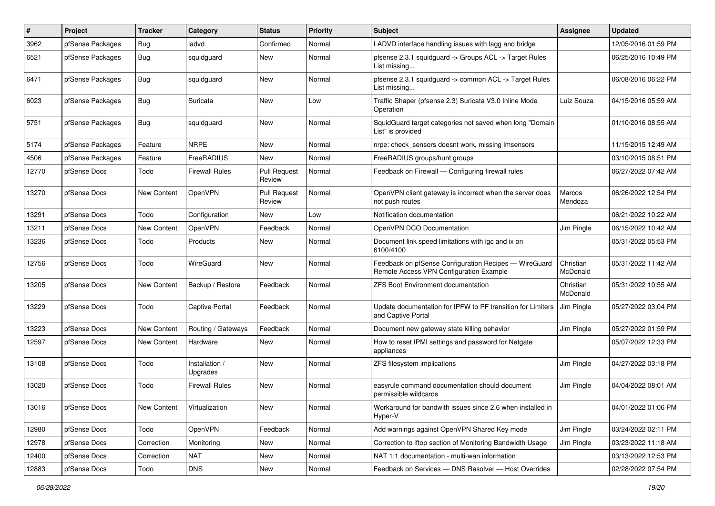| #     | Project          | <b>Tracker</b>     | Category                   | <b>Status</b>                 | Priority | Subject                                                                                          | <b>Assignee</b>       | <b>Updated</b>      |
|-------|------------------|--------------------|----------------------------|-------------------------------|----------|--------------------------------------------------------------------------------------------------|-----------------------|---------------------|
| 3962  | pfSense Packages | <b>Bug</b>         | ladvd                      | Confirmed                     | Normal   | LADVD interface handling issues with lagg and bridge                                             |                       | 12/05/2016 01:59 PM |
| 6521  | pfSense Packages | <b>Bug</b>         | squidguard                 | New                           | Normal   | pfsense 2.3.1 squidguard -> Groups ACL -> Target Rules<br>List missing                           |                       | 06/25/2016 10:49 PM |
| 6471  | pfSense Packages | <b>Bug</b>         | squidguard                 | <b>New</b>                    | Normal   | pfsense 2.3.1 squidguard -> common ACL -> Target Rules<br>List missing                           |                       | 06/08/2016 06:22 PM |
| 6023  | pfSense Packages | Bug                | Suricata                   | <b>New</b>                    | Low      | Traffic Shaper (pfsense 2.3) Suricata V3.0 Inline Mode<br>Operation                              | Luiz Souza            | 04/15/2016 05:59 AM |
| 5751  | pfSense Packages | <b>Bug</b>         | squidguard                 | <b>New</b>                    | Normal   | SquidGuard target categories not saved when long "Domain<br>List" is provided                    |                       | 01/10/2016 08:55 AM |
| 5174  | pfSense Packages | Feature            | <b>NRPE</b>                | <b>New</b>                    | Normal   | nrpe: check sensors doesnt work, missing Imsensors                                               |                       | 11/15/2015 12:49 AM |
| 4506  | pfSense Packages | Feature            | FreeRADIUS                 | <b>New</b>                    | Normal   | FreeRADIUS groups/hunt groups                                                                    |                       | 03/10/2015 08:51 PM |
| 12770 | pfSense Docs     | Todo               | <b>Firewall Rules</b>      | <b>Pull Request</b><br>Review | Normal   | Feedback on Firewall - Configuring firewall rules                                                |                       | 06/27/2022 07:42 AM |
| 13270 | pfSense Docs     | <b>New Content</b> | OpenVPN                    | <b>Pull Request</b><br>Review | Normal   | OpenVPN client gateway is incorrect when the server does<br>not push routes                      | Marcos<br>Mendoza     | 06/26/2022 12:54 PM |
| 13291 | pfSense Docs     | Todo               | Configuration              | <b>New</b>                    | Low      | Notification documentation                                                                       |                       | 06/21/2022 10:22 AM |
| 13211 | pfSense Docs     | New Content        | OpenVPN                    | Feedback                      | Normal   | OpenVPN DCO Documentation                                                                        | Jim Pingle            | 06/15/2022 10:42 AM |
| 13236 | pfSense Docs     | Todo               | Products                   | New                           | Normal   | Document link speed limitations with igc and ix on<br>6100/4100                                  |                       | 05/31/2022 05:53 PM |
| 12756 | pfSense Docs     | Todo               | WireGuard                  | <b>New</b>                    | Normal   | Feedback on pfSense Configuration Recipes - WireGuard<br>Remote Access VPN Configuration Example | Christian<br>McDonald | 05/31/2022 11:42 AM |
| 13205 | pfSense Docs     | <b>New Content</b> | Backup / Restore           | Feedback                      | Normal   | <b>ZFS Boot Environment documentation</b>                                                        | Christian<br>McDonald | 05/31/2022 10:55 AM |
| 13229 | pfSense Docs     | Todo               | Captive Portal             | Feedback                      | Normal   | Update documentation for IPFW to PF transition for Limiters<br>and Captive Portal                | Jim Pingle            | 05/27/2022 03:04 PM |
| 13223 | pfSense Docs     | New Content        | Routing / Gateways         | Feedback                      | Normal   | Document new gateway state killing behavior                                                      | Jim Pingle            | 05/27/2022 01:59 PM |
| 12597 | pfSense Docs     | New Content        | Hardware                   | <b>New</b>                    | Normal   | How to reset IPMI settings and password for Netgate<br>appliances                                |                       | 05/07/2022 12:33 PM |
| 13108 | pfSense Docs     | Todo               | Installation /<br>Upgrades | New                           | Normal   | ZFS filesystem implications                                                                      | Jim Pingle            | 04/27/2022 03:18 PM |
| 13020 | pfSense Docs     | Todo               | <b>Firewall Rules</b>      | New                           | Normal   | easyrule command documentation should document<br>permissible wildcards                          | Jim Pingle            | 04/04/2022 08:01 AM |
| 13016 | pfSense Docs     | <b>New Content</b> | Virtualization             | New                           | Normal   | Workaround for bandwith issues since 2.6 when installed in<br>Hyper-V                            |                       | 04/01/2022 01:06 PM |
| 12980 | pfSense Docs     | Todo               | OpenVPN                    | Feedback                      | Normal   | Add warnings against OpenVPN Shared Key mode                                                     | Jim Pingle            | 03/24/2022 02:11 PM |
| 12978 | pfSense Docs     | Correction         | Monitoring                 | New                           | Normal   | Correction to iftop section of Monitoring Bandwidth Usage                                        | Jim Pingle            | 03/23/2022 11:18 AM |
| 12400 | pfSense Docs     | Correction         | <b>NAT</b>                 | New                           | Normal   | NAT 1:1 documentation - multi-wan information                                                    |                       | 03/13/2022 12:53 PM |
| 12883 | pfSense Docs     | Todo               | <b>DNS</b>                 | New                           | Normal   | Feedback on Services - DNS Resolver - Host Overrides                                             |                       | 02/28/2022 07:54 PM |